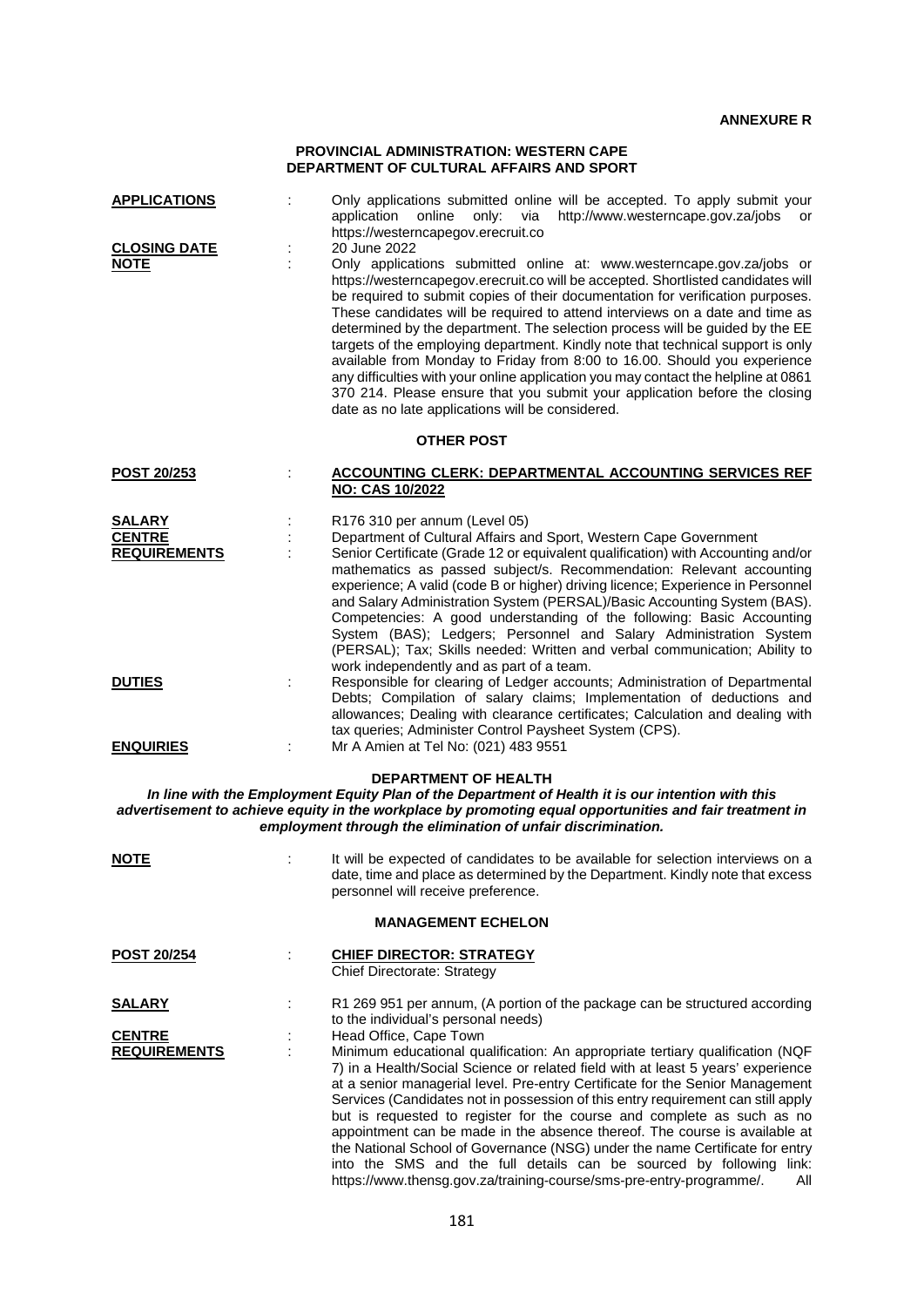## **PROVINCIAL ADMINISTRATION: WESTERN CAPE DEPARTMENT OF CULTURAL AFFAIRS AND SPORT**

| <b>APPLICATIONS</b><br><b>CLOSING DATE</b><br><b>NOTE</b>                                                                        |                   | Only applications submitted online will be accepted. To apply submit your<br>http://www.westerncape.gov.za/jobs<br>application<br>online<br>only: via<br>or<br>https://westerncapegov.erecruit.co<br>20 June 2022<br>Only applications submitted online at: www.westerncape.gov.za/jobs or<br>https://westerncapegov.erecruit.co will be accepted. Shortlisted candidates will<br>be required to submit copies of their documentation for verification purposes.<br>These candidates will be required to attend interviews on a date and time as<br>determined by the department. The selection process will be guided by the EE<br>targets of the employing department. Kindly note that technical support is only<br>available from Monday to Friday from 8:00 to 16.00. Should you experience<br>any difficulties with your online application you may contact the helpline at 0861<br>370 214. Please ensure that you submit your application before the closing<br>date as no late applications will be considered. |  |  |  |
|----------------------------------------------------------------------------------------------------------------------------------|-------------------|--------------------------------------------------------------------------------------------------------------------------------------------------------------------------------------------------------------------------------------------------------------------------------------------------------------------------------------------------------------------------------------------------------------------------------------------------------------------------------------------------------------------------------------------------------------------------------------------------------------------------------------------------------------------------------------------------------------------------------------------------------------------------------------------------------------------------------------------------------------------------------------------------------------------------------------------------------------------------------------------------------------------------|--|--|--|
|                                                                                                                                  | <b>OTHER POST</b> |                                                                                                                                                                                                                                                                                                                                                                                                                                                                                                                                                                                                                                                                                                                                                                                                                                                                                                                                                                                                                          |  |  |  |
| POST 20/253                                                                                                                      |                   | <b>ACCOUNTING CLERK: DEPARTMENTAL ACCOUNTING SERVICES REF</b><br><b>NO: CAS 10/2022</b>                                                                                                                                                                                                                                                                                                                                                                                                                                                                                                                                                                                                                                                                                                                                                                                                                                                                                                                                  |  |  |  |
| <b>SALARY</b><br><b>CENTRE</b><br><b>REQUIREMENTS</b><br><b>DUTIES</b>                                                           |                   | R176 310 per annum (Level 05)<br>Department of Cultural Affairs and Sport, Western Cape Government<br>Senior Certificate (Grade 12 or equivalent qualification) with Accounting and/or<br>mathematics as passed subject/s. Recommendation: Relevant accounting<br>experience; A valid (code B or higher) driving licence; Experience in Personnel<br>and Salary Administration System (PERSAL)/Basic Accounting System (BAS).<br>Competencies: A good understanding of the following: Basic Accounting<br>System (BAS); Ledgers; Personnel and Salary Administration System<br>(PERSAL); Tax; Skills needed: Written and verbal communication; Ability to<br>work independently and as part of a team.<br>Responsible for clearing of Ledger accounts; Administration of Departmental<br>Debts; Compilation of salary claims; Implementation of deductions and<br>allowances; Dealing with clearance certificates; Calculation and dealing with                                                                          |  |  |  |
| <b>ENQUIRIES</b>                                                                                                                 |                   | tax queries; Administer Control Paysheet System (CPS).<br>Mr A Amien at Tel No: (021) 483 9551                                                                                                                                                                                                                                                                                                                                                                                                                                                                                                                                                                                                                                                                                                                                                                                                                                                                                                                           |  |  |  |
| <b>DEPARTMENT OF HEALTH</b><br>In line with the Employment Equity Plan of the Department of Health it is our intention with this |                   |                                                                                                                                                                                                                                                                                                                                                                                                                                                                                                                                                                                                                                                                                                                                                                                                                                                                                                                                                                                                                          |  |  |  |

*advertisement to achieve equity in the workplace by promoting equal opportunities and fair treatment in employment through the elimination of unfair discrimination.*

| <b>NOTE</b>                          | It will be expected of candidates to be available for selection interviews on a<br>date, time and place as determined by the Department. Kindly note that excess<br>personnel will receive preference.                                                                                                                                                                                                                                                                                                                                                                                                                                                                                                                                                        |
|--------------------------------------|---------------------------------------------------------------------------------------------------------------------------------------------------------------------------------------------------------------------------------------------------------------------------------------------------------------------------------------------------------------------------------------------------------------------------------------------------------------------------------------------------------------------------------------------------------------------------------------------------------------------------------------------------------------------------------------------------------------------------------------------------------------|
|                                      | <b>MANAGEMENT ECHELON</b>                                                                                                                                                                                                                                                                                                                                                                                                                                                                                                                                                                                                                                                                                                                                     |
| <b>POST 20/254</b>                   | <b>CHIEF DIRECTOR: STRATEGY</b><br><b>Chief Directorate: Strategy</b>                                                                                                                                                                                                                                                                                                                                                                                                                                                                                                                                                                                                                                                                                         |
| SALARY                               | R1 269 951 per annum, (A portion of the package can be structured according<br>to the individual's personal needs)                                                                                                                                                                                                                                                                                                                                                                                                                                                                                                                                                                                                                                            |
| <b>CENTRE</b><br><b>REQUIREMENTS</b> | Head Office, Cape Town<br>Minimum educational qualification: An appropriate tertiary qualification (NQF<br>7) in a Health/Social Science or related field with at least 5 years' experience<br>at a senior managerial level. Pre-entry Certificate for the Senior Management<br>Services (Candidates not in possession of this entry requirement can still apply<br>but is requested to register for the course and complete as such as no<br>appointment can be made in the absence thereof. The course is available at<br>the National School of Governance (NSG) under the name Certificate for entry<br>into the SMS and the full details can be sourced by following link:<br>https://www.thensg.gov.za/training-course/sms-pre-entry-programme/.<br>All |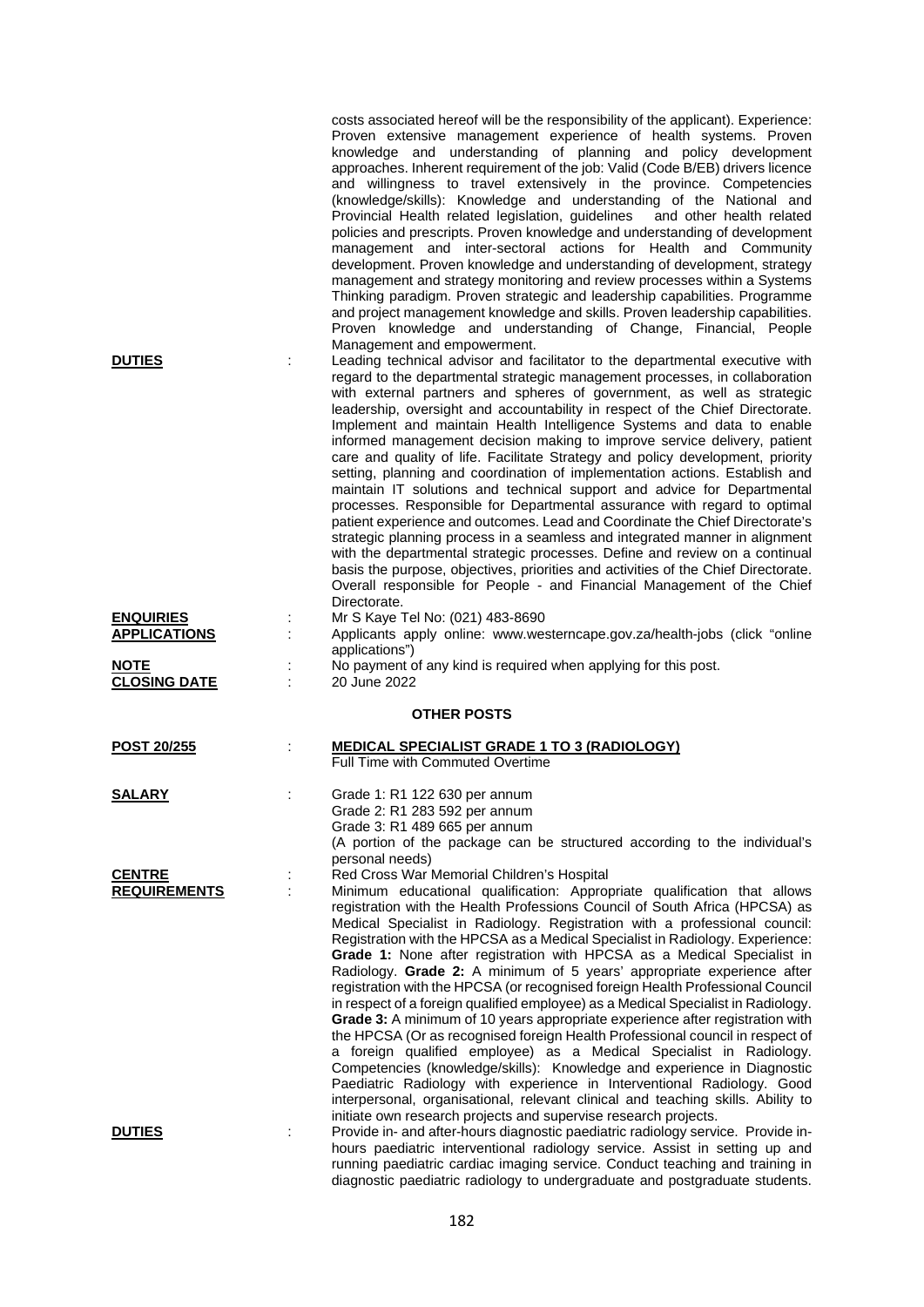| <b>DUTIES</b><br>t                      | costs associated hereof will be the responsibility of the applicant). Experience:<br>Proven extensive management experience of health systems. Proven<br>knowledge and understanding of planning and policy development<br>approaches. Inherent requirement of the job: Valid (Code B/EB) drivers licence<br>and willingness to travel extensively in the province. Competencies<br>(knowledge/skills): Knowledge and understanding of the National and<br>Provincial Health related legislation, guidelines<br>and other health related<br>policies and prescripts. Proven knowledge and understanding of development<br>management and inter-sectoral actions for Health and Community<br>development. Proven knowledge and understanding of development, strategy<br>management and strategy monitoring and review processes within a Systems<br>Thinking paradigm. Proven strategic and leadership capabilities. Programme<br>and project management knowledge and skills. Proven leadership capabilities.<br>Proven knowledge and understanding of Change, Financial, People<br>Management and empowerment.<br>Leading technical advisor and facilitator to the departmental executive with<br>regard to the departmental strategic management processes, in collaboration<br>with external partners and spheres of government, as well as strategic<br>leadership, oversight and accountability in respect of the Chief Directorate.<br>Implement and maintain Health Intelligence Systems and data to enable<br>informed management decision making to improve service delivery, patient<br>care and quality of life. Facilitate Strategy and policy development, priority<br>setting, planning and coordination of implementation actions. Establish and<br>maintain IT solutions and technical support and advice for Departmental<br>processes. Responsible for Departmental assurance with regard to optimal<br>patient experience and outcomes. Lead and Coordinate the Chief Directorate's<br>strategic planning process in a seamless and integrated manner in alignment<br>with the departmental strategic processes. Define and review on a continual<br>basis the purpose, objectives, priorities and activities of the Chief Directorate.<br>Overall responsible for People - and Financial Management of the Chief |
|-----------------------------------------|---------------------------------------------------------------------------------------------------------------------------------------------------------------------------------------------------------------------------------------------------------------------------------------------------------------------------------------------------------------------------------------------------------------------------------------------------------------------------------------------------------------------------------------------------------------------------------------------------------------------------------------------------------------------------------------------------------------------------------------------------------------------------------------------------------------------------------------------------------------------------------------------------------------------------------------------------------------------------------------------------------------------------------------------------------------------------------------------------------------------------------------------------------------------------------------------------------------------------------------------------------------------------------------------------------------------------------------------------------------------------------------------------------------------------------------------------------------------------------------------------------------------------------------------------------------------------------------------------------------------------------------------------------------------------------------------------------------------------------------------------------------------------------------------------------------------------------------------------------------------------------------------------------------------------------------------------------------------------------------------------------------------------------------------------------------------------------------------------------------------------------------------------------------------------------------------------------------------------------------------------------------------------------------------------------------------------------------|
| <b>ENQUIRIES</b><br><b>APPLICATIONS</b> | Directorate.<br>Mr S Kaye Tel No: (021) 483-8690<br>Applicants apply online: www.westerncape.gov.za/health-jobs (click "online                                                                                                                                                                                                                                                                                                                                                                                                                                                                                                                                                                                                                                                                                                                                                                                                                                                                                                                                                                                                                                                                                                                                                                                                                                                                                                                                                                                                                                                                                                                                                                                                                                                                                                                                                                                                                                                                                                                                                                                                                                                                                                                                                                                                        |
| <b>NOTE</b><br>÷<br><b>CLOSING DATE</b> | applications")<br>No payment of any kind is required when applying for this post.<br>20 June 2022                                                                                                                                                                                                                                                                                                                                                                                                                                                                                                                                                                                                                                                                                                                                                                                                                                                                                                                                                                                                                                                                                                                                                                                                                                                                                                                                                                                                                                                                                                                                                                                                                                                                                                                                                                                                                                                                                                                                                                                                                                                                                                                                                                                                                                     |
|                                         | <b>OTHER POSTS</b>                                                                                                                                                                                                                                                                                                                                                                                                                                                                                                                                                                                                                                                                                                                                                                                                                                                                                                                                                                                                                                                                                                                                                                                                                                                                                                                                                                                                                                                                                                                                                                                                                                                                                                                                                                                                                                                                                                                                                                                                                                                                                                                                                                                                                                                                                                                    |
| <b>POST 20/255</b>                      | <b>MEDICAL SPECIALIST GRADE 1 TO 3 (RADIOLOGY)</b><br>Full Time with Commuted Overtime                                                                                                                                                                                                                                                                                                                                                                                                                                                                                                                                                                                                                                                                                                                                                                                                                                                                                                                                                                                                                                                                                                                                                                                                                                                                                                                                                                                                                                                                                                                                                                                                                                                                                                                                                                                                                                                                                                                                                                                                                                                                                                                                                                                                                                                |
| <b>SALARY</b>                           | Grade 1: R1 122 630 per annum<br>Grade 2: R1 283 592 per annum<br>Grade 3: R1 489 665 per annum<br>(A portion of the package can be structured according to the individual's<br>personal needs)                                                                                                                                                                                                                                                                                                                                                                                                                                                                                                                                                                                                                                                                                                                                                                                                                                                                                                                                                                                                                                                                                                                                                                                                                                                                                                                                                                                                                                                                                                                                                                                                                                                                                                                                                                                                                                                                                                                                                                                                                                                                                                                                       |
| <b>CENTRE</b><br><b>REQUIREMENTS</b>    | Red Cross War Memorial Children's Hospital<br>Minimum educational qualification: Appropriate qualification that allows<br>registration with the Health Professions Council of South Africa (HPCSA) as<br>Medical Specialist in Radiology. Registration with a professional council:<br>Registration with the HPCSA as a Medical Specialist in Radiology. Experience:<br>Grade 1: None after registration with HPCSA as a Medical Specialist in<br>Radiology. Grade 2: A minimum of 5 years' appropriate experience after<br>registration with the HPCSA (or recognised foreign Health Professional Council<br>in respect of a foreign qualified employee) as a Medical Specialist in Radiology.<br>Grade 3: A minimum of 10 years appropriate experience after registration with<br>the HPCSA (Or as recognised foreign Health Professional council in respect of<br>a foreign qualified employee) as a Medical Specialist in Radiology.<br>Competencies (knowledge/skills): Knowledge and experience in Diagnostic<br>Paediatric Radiology with experience in Interventional Radiology. Good<br>interpersonal, organisational, relevant clinical and teaching skills. Ability to<br>initiate own research projects and supervise research projects.                                                                                                                                                                                                                                                                                                                                                                                                                                                                                                                                                                                                                                                                                                                                                                                                                                                                                                                                                                                                                                                                                  |
| <b>DUTIES</b><br>÷                      | Provide in- and after-hours diagnostic paediatric radiology service. Provide in-<br>hours paediatric interventional radiology service. Assist in setting up and<br>running paediatric cardiac imaging service. Conduct teaching and training in                                                                                                                                                                                                                                                                                                                                                                                                                                                                                                                                                                                                                                                                                                                                                                                                                                                                                                                                                                                                                                                                                                                                                                                                                                                                                                                                                                                                                                                                                                                                                                                                                                                                                                                                                                                                                                                                                                                                                                                                                                                                                       |

diagnostic paediatric radiology to undergraduate and postgraduate students.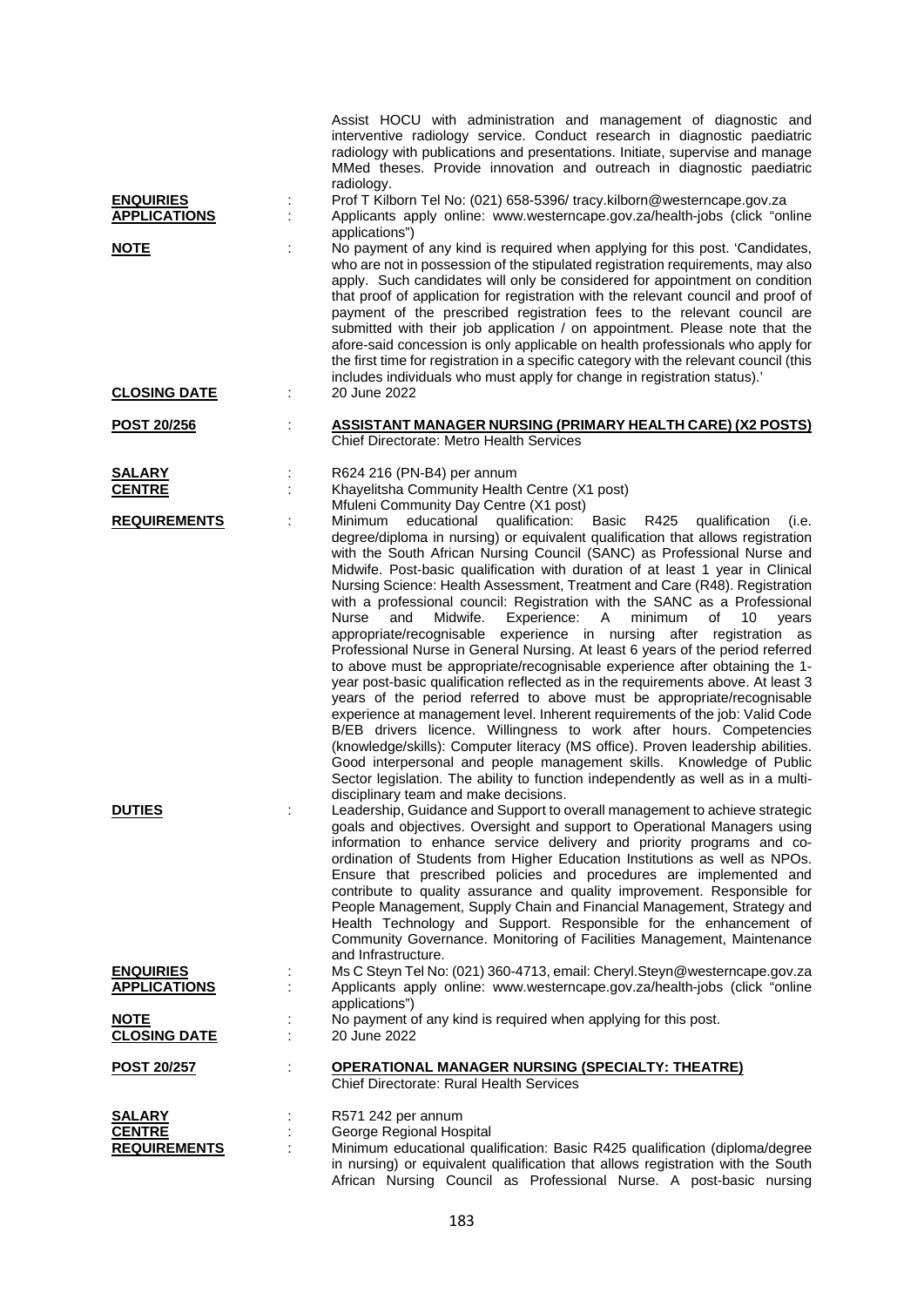|                                         |                      | Assist HOCU with administration and management of diagnostic and<br>interventive radiology service. Conduct research in diagnostic paediatric<br>radiology with publications and presentations. Initiate, supervise and manage<br>MMed theses. Provide innovation and outreach in diagnostic paediatric<br>radiology.                                                                                                                                                                                                                                                                                                                                                                                                                                                                                                                                                                                                                                                                                                                                                                                                                                                                                                                                                                                                                                                                                                                                                                                               |
|-----------------------------------------|----------------------|---------------------------------------------------------------------------------------------------------------------------------------------------------------------------------------------------------------------------------------------------------------------------------------------------------------------------------------------------------------------------------------------------------------------------------------------------------------------------------------------------------------------------------------------------------------------------------------------------------------------------------------------------------------------------------------------------------------------------------------------------------------------------------------------------------------------------------------------------------------------------------------------------------------------------------------------------------------------------------------------------------------------------------------------------------------------------------------------------------------------------------------------------------------------------------------------------------------------------------------------------------------------------------------------------------------------------------------------------------------------------------------------------------------------------------------------------------------------------------------------------------------------|
| <b>ENQUIRIES</b>                        |                      | Prof T Kilborn Tel No: (021) 658-5396/ tracy.kilborn@westerncape.gov.za                                                                                                                                                                                                                                                                                                                                                                                                                                                                                                                                                                                                                                                                                                                                                                                                                                                                                                                                                                                                                                                                                                                                                                                                                                                                                                                                                                                                                                             |
| <b>APPLICATIONS</b>                     |                      | Applicants apply online: www.westerncape.gov.za/health-jobs (click "online<br>applications")                                                                                                                                                                                                                                                                                                                                                                                                                                                                                                                                                                                                                                                                                                                                                                                                                                                                                                                                                                                                                                                                                                                                                                                                                                                                                                                                                                                                                        |
| <b>NOTE</b>                             |                      | No payment of any kind is required when applying for this post. 'Candidates,<br>who are not in possession of the stipulated registration requirements, may also<br>apply. Such candidates will only be considered for appointment on condition<br>that proof of application for registration with the relevant council and proof of<br>payment of the prescribed registration fees to the relevant council are<br>submitted with their job application / on appointment. Please note that the<br>afore-said concession is only applicable on health professionals who apply for<br>the first time for registration in a specific category with the relevant council (this<br>includes individuals who must apply for change in registration status).'                                                                                                                                                                                                                                                                                                                                                                                                                                                                                                                                                                                                                                                                                                                                                               |
| <b>CLOSING DATE</b>                     | ÷                    | 20 June 2022                                                                                                                                                                                                                                                                                                                                                                                                                                                                                                                                                                                                                                                                                                                                                                                                                                                                                                                                                                                                                                                                                                                                                                                                                                                                                                                                                                                                                                                                                                        |
| <b>POST 20/256</b>                      | $\ddot{\phantom{a}}$ | <b>ASSISTANT MANAGER NURSING (PRIMARY HEALTH CARE) (X2 POSTS)</b><br>Chief Directorate: Metro Health Services                                                                                                                                                                                                                                                                                                                                                                                                                                                                                                                                                                                                                                                                                                                                                                                                                                                                                                                                                                                                                                                                                                                                                                                                                                                                                                                                                                                                       |
| <b>SALARY</b>                           | ÷                    | R624 216 (PN-B4) per annum                                                                                                                                                                                                                                                                                                                                                                                                                                                                                                                                                                                                                                                                                                                                                                                                                                                                                                                                                                                                                                                                                                                                                                                                                                                                                                                                                                                                                                                                                          |
| <b>CENTRE</b>                           |                      | Khayelitsha Community Health Centre (X1 post)<br>Mfuleni Community Day Centre (X1 post)                                                                                                                                                                                                                                                                                                                                                                                                                                                                                                                                                                                                                                                                                                                                                                                                                                                                                                                                                                                                                                                                                                                                                                                                                                                                                                                                                                                                                             |
| <b>REQUIREMENTS</b><br><b>DUTIES</b>    |                      | educational<br>qualification:<br>Basic<br>R425<br>Minimum<br>qualification<br>(i.e.<br>degree/diploma in nursing) or equivalent qualification that allows registration<br>with the South African Nursing Council (SANC) as Professional Nurse and<br>Midwife. Post-basic qualification with duration of at least 1 year in Clinical<br>Nursing Science: Health Assessment, Treatment and Care (R48). Registration<br>with a professional council: Registration with the SANC as a Professional<br>Midwife.<br>Experience:<br>A<br>minimum<br>of<br>10<br>Nurse<br>and<br>years<br>appropriate/recognisable experience in nursing after registration as<br>Professional Nurse in General Nursing. At least 6 years of the period referred<br>to above must be appropriate/recognisable experience after obtaining the 1-<br>year post-basic qualification reflected as in the requirements above. At least 3<br>years of the period referred to above must be appropriate/recognisable<br>experience at management level. Inherent requirements of the job: Valid Code<br>B/EB drivers licence. Willingness to work after hours. Competencies<br>(knowledge/skills): Computer literacy (MS office). Proven leadership abilities.<br>Good interpersonal and people management skills. Knowledge of Public<br>Sector legislation. The ability to function independently as well as in a multi-<br>disciplinary team and make decisions.<br>Leadership, Guidance and Support to overall management to achieve strategic |
|                                         |                      | goals and objectives. Oversight and support to Operational Managers using<br>information to enhance service delivery and priority programs and co-<br>ordination of Students from Higher Education Institutions as well as NPOs.<br>Ensure that prescribed policies and procedures are implemented and<br>contribute to quality assurance and quality improvement. Responsible for<br>People Management, Supply Chain and Financial Management, Strategy and<br>Health Technology and Support. Responsible for the enhancement of<br>Community Governance. Monitoring of Facilities Management, Maintenance<br>and Infrastructure.                                                                                                                                                                                                                                                                                                                                                                                                                                                                                                                                                                                                                                                                                                                                                                                                                                                                                  |
| <b>ENQUIRIES</b><br><b>APPLICATIONS</b> |                      | Ms C Steyn Tel No: (021) 360-4713, email: Cheryl.Steyn@westerncape.gov.za<br>Applicants apply online: www.westerncape.gov.za/health-jobs (click "online                                                                                                                                                                                                                                                                                                                                                                                                                                                                                                                                                                                                                                                                                                                                                                                                                                                                                                                                                                                                                                                                                                                                                                                                                                                                                                                                                             |
|                                         |                      | applications")                                                                                                                                                                                                                                                                                                                                                                                                                                                                                                                                                                                                                                                                                                                                                                                                                                                                                                                                                                                                                                                                                                                                                                                                                                                                                                                                                                                                                                                                                                      |
| <b>NOTE</b><br><b>CLOSING DATE</b>      |                      | No payment of any kind is required when applying for this post.<br>20 June 2022                                                                                                                                                                                                                                                                                                                                                                                                                                                                                                                                                                                                                                                                                                                                                                                                                                                                                                                                                                                                                                                                                                                                                                                                                                                                                                                                                                                                                                     |
| <u>POST 20/257</u>                      |                      | <b>OPERATIONAL MANAGER NURSING (SPECIALTY: THEATRE)</b><br>Chief Directorate: Rural Health Services                                                                                                                                                                                                                                                                                                                                                                                                                                                                                                                                                                                                                                                                                                                                                                                                                                                                                                                                                                                                                                                                                                                                                                                                                                                                                                                                                                                                                 |
| <b>SALARY</b>                           |                      | R571 242 per annum                                                                                                                                                                                                                                                                                                                                                                                                                                                                                                                                                                                                                                                                                                                                                                                                                                                                                                                                                                                                                                                                                                                                                                                                                                                                                                                                                                                                                                                                                                  |
| <b>CENTRE</b>                           |                      | George Regional Hospital                                                                                                                                                                                                                                                                                                                                                                                                                                                                                                                                                                                                                                                                                                                                                                                                                                                                                                                                                                                                                                                                                                                                                                                                                                                                                                                                                                                                                                                                                            |
| <b>REQUIREMENTS</b>                     |                      | Minimum educational qualification: Basic R425 qualification (diploma/degree<br>in nursing) or equivalent qualification that allows registration with the South                                                                                                                                                                                                                                                                                                                                                                                                                                                                                                                                                                                                                                                                                                                                                                                                                                                                                                                                                                                                                                                                                                                                                                                                                                                                                                                                                      |

African Nursing Council as Professional Nurse. A post-basic nursing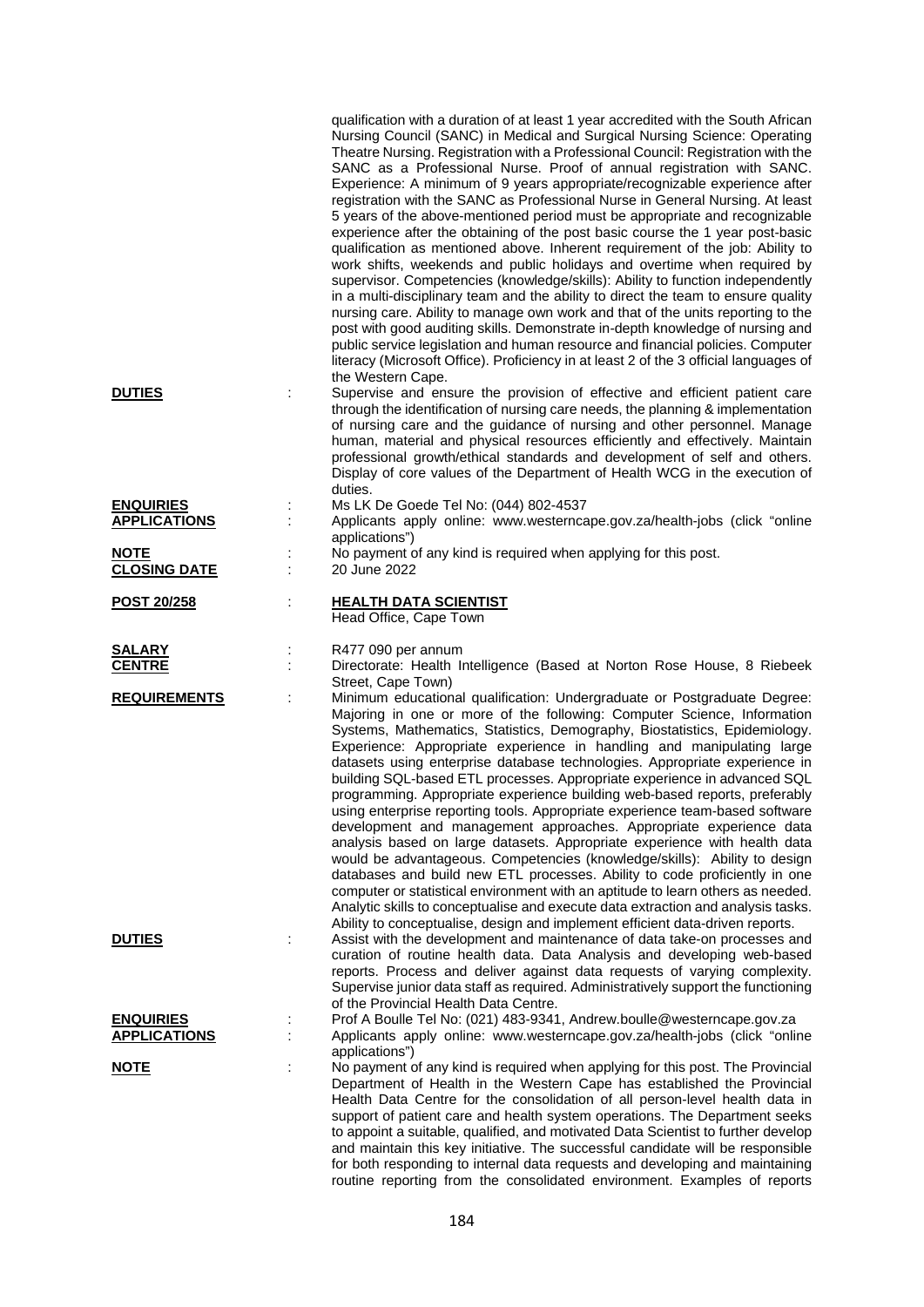|                                              | qualification with a duration of at least 1 year accredited with the South African<br>Nursing Council (SANC) in Medical and Surgical Nursing Science: Operating<br>Theatre Nursing. Registration with a Professional Council: Registration with the<br>SANC as a Professional Nurse. Proof of annual registration with SANC.<br>Experience: A minimum of 9 years appropriate/recognizable experience after<br>registration with the SANC as Professional Nurse in General Nursing. At least<br>5 years of the above-mentioned period must be appropriate and recognizable<br>experience after the obtaining of the post basic course the 1 year post-basic<br>qualification as mentioned above. Inherent requirement of the job: Ability to<br>work shifts, weekends and public holidays and overtime when required by<br>supervisor. Competencies (knowledge/skills): Ability to function independently<br>in a multi-disciplinary team and the ability to direct the team to ensure quality<br>nursing care. Ability to manage own work and that of the units reporting to the<br>post with good auditing skills. Demonstrate in-depth knowledge of nursing and<br>public service legislation and human resource and financial policies. Computer<br>literacy (Microsoft Office). Proficiency in at least 2 of the 3 official languages of<br>the Western Cape. |
|----------------------------------------------|-------------------------------------------------------------------------------------------------------------------------------------------------------------------------------------------------------------------------------------------------------------------------------------------------------------------------------------------------------------------------------------------------------------------------------------------------------------------------------------------------------------------------------------------------------------------------------------------------------------------------------------------------------------------------------------------------------------------------------------------------------------------------------------------------------------------------------------------------------------------------------------------------------------------------------------------------------------------------------------------------------------------------------------------------------------------------------------------------------------------------------------------------------------------------------------------------------------------------------------------------------------------------------------------------------------------------------------------------------------------|
| <b>DUTIES</b>                                | Supervise and ensure the provision of effective and efficient patient care<br>through the identification of nursing care needs, the planning & implementation<br>of nursing care and the guidance of nursing and other personnel. Manage<br>human, material and physical resources efficiently and effectively. Maintain<br>professional growth/ethical standards and development of self and others.<br>Display of core values of the Department of Health WCG in the execution of<br>duties.                                                                                                                                                                                                                                                                                                                                                                                                                                                                                                                                                                                                                                                                                                                                                                                                                                                                    |
| <b>ENQUIRIES</b><br>÷<br><b>APPLICATIONS</b> | Ms LK De Goede Tel No: (044) 802-4537<br>Applicants apply online: www.westerncape.gov.za/health-jobs (click "online<br>applications")                                                                                                                                                                                                                                                                                                                                                                                                                                                                                                                                                                                                                                                                                                                                                                                                                                                                                                                                                                                                                                                                                                                                                                                                                             |
| <b>NOTE</b><br><b>CLOSING DATE</b>           | No payment of any kind is required when applying for this post.<br>20 June 2022                                                                                                                                                                                                                                                                                                                                                                                                                                                                                                                                                                                                                                                                                                                                                                                                                                                                                                                                                                                                                                                                                                                                                                                                                                                                                   |
| t<br><b>POST 20/258</b>                      | <b>HEALTH DATA SCIENTIST</b><br>Head Office, Cape Town                                                                                                                                                                                                                                                                                                                                                                                                                                                                                                                                                                                                                                                                                                                                                                                                                                                                                                                                                                                                                                                                                                                                                                                                                                                                                                            |
| <u>SALARY</u><br><b>CENTRE</b>               | R477 090 per annum<br>Directorate: Health Intelligence (Based at Norton Rose House, 8 Riebeek<br>Street, Cape Town)                                                                                                                                                                                                                                                                                                                                                                                                                                                                                                                                                                                                                                                                                                                                                                                                                                                                                                                                                                                                                                                                                                                                                                                                                                               |
| <b>REQUIREMENTS</b>                          | Minimum educational qualification: Undergraduate or Postgraduate Degree:<br>Majoring in one or more of the following: Computer Science, Information<br>Systems, Mathematics, Statistics, Demography, Biostatistics, Epidemiology.<br>Experience: Appropriate experience in handling and manipulating large<br>datasets using enterprise database technologies. Appropriate experience in<br>building SQL-based ETL processes. Appropriate experience in advanced SQL<br>programming. Appropriate experience building web-based reports, preferably<br>using enterprise reporting tools. Appropriate experience team-based software<br>development and management approaches. Appropriate experience data<br>analysis based on large datasets. Appropriate experience with health data<br>would be advantageous. Competencies (knowledge/skills): Ability to design<br>databases and build new ETL processes. Ability to code proficiently in one<br>computer or statistical environment with an aptitude to learn others as needed.<br>Analytic skills to conceptualise and execute data extraction and analysis tasks.<br>Ability to conceptualise, design and implement efficient data-driven reports.                                                                                                                                                          |
| <b>DUTIES</b>                                | Assist with the development and maintenance of data take-on processes and<br>curation of routine health data. Data Analysis and developing web-based<br>reports. Process and deliver against data requests of varying complexity.<br>Supervise junior data staff as required. Administratively support the functioning<br>of the Provincial Health Data Centre.                                                                                                                                                                                                                                                                                                                                                                                                                                                                                                                                                                                                                                                                                                                                                                                                                                                                                                                                                                                                   |
| <b>ENQUIRIES</b>                             | Prof A Boulle Tel No: (021) 483-9341, Andrew.boulle@westerncape.gov.za                                                                                                                                                                                                                                                                                                                                                                                                                                                                                                                                                                                                                                                                                                                                                                                                                                                                                                                                                                                                                                                                                                                                                                                                                                                                                            |
| <b>APPLICATIONS</b>                          | Applicants apply online: www.westerncape.gov.za/health-jobs (click "online                                                                                                                                                                                                                                                                                                                                                                                                                                                                                                                                                                                                                                                                                                                                                                                                                                                                                                                                                                                                                                                                                                                                                                                                                                                                                        |
| <b>NOTE</b>                                  | applications")<br>No payment of any kind is required when applying for this post. The Provincial                                                                                                                                                                                                                                                                                                                                                                                                                                                                                                                                                                                                                                                                                                                                                                                                                                                                                                                                                                                                                                                                                                                                                                                                                                                                  |
|                                              | Department of Health in the Western Cape has established the Provincial<br>Health Data Centre for the consolidation of all person-level health data in<br>support of patient care and health system operations. The Department seeks<br>to appoint a suitable, qualified, and motivated Data Scientist to further develop<br>and maintain this key initiative. The successful candidate will be responsible<br>for both responding to internal data requests and developing and maintaining                                                                                                                                                                                                                                                                                                                                                                                                                                                                                                                                                                                                                                                                                                                                                                                                                                                                       |

routine reporting from the consolidated environment. Examples of reports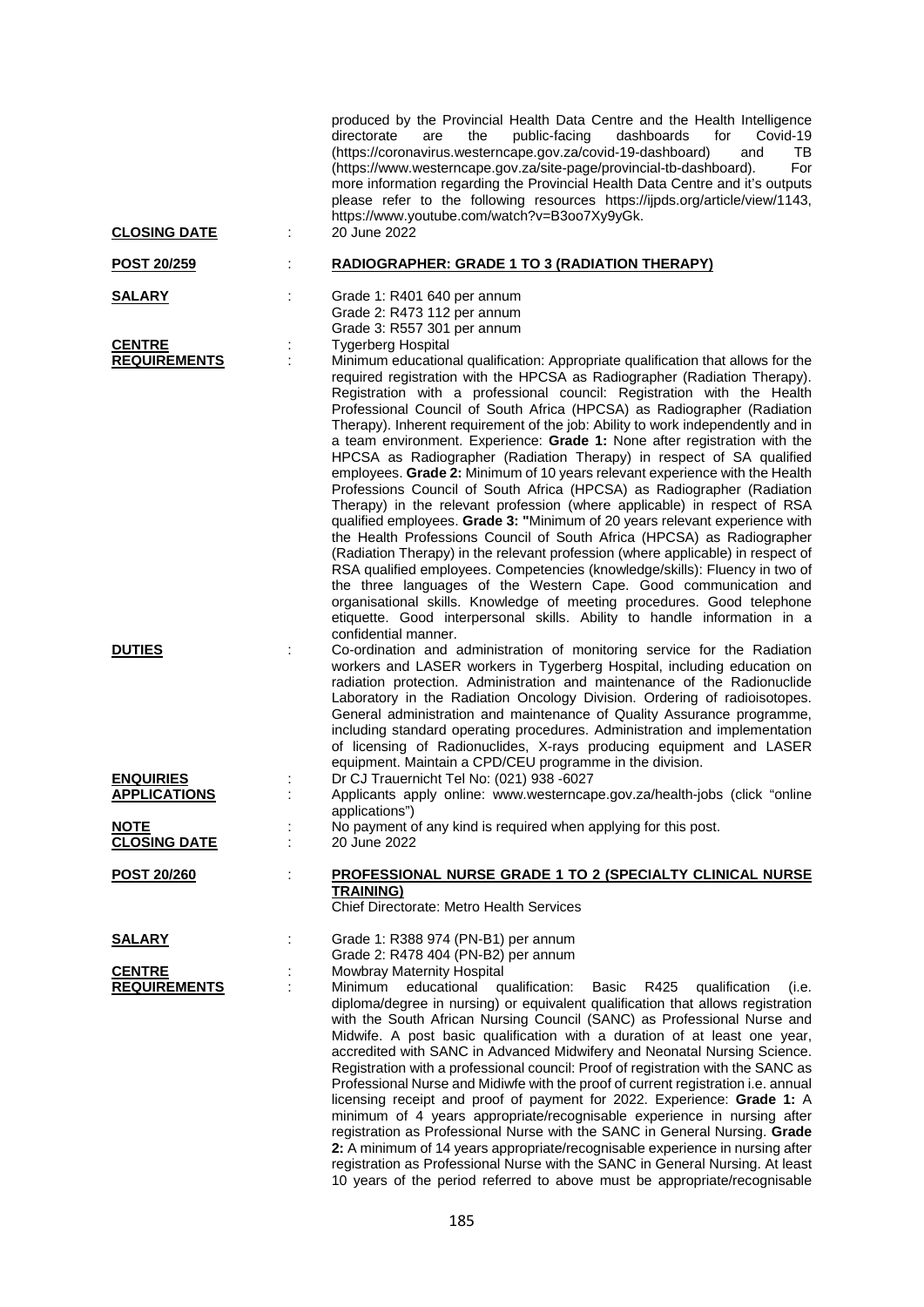|                                         |   | produced by the Provincial Health Data Centre and the Health Intelligence<br>Covid-19<br>directorate<br>the<br>public-facing<br>dashboards<br>for<br>are<br>(https://coronavirus.westerncape.gov.za/covid-19-dashboard)<br>and<br>TВ<br>(https://www.westerncape.gov.za/site-page/provincial-tb-dashboard).<br>For<br>more information regarding the Provincial Health Data Centre and it's outputs<br>please refer to the following resources https://ijpds.org/article/view/1143,<br>https://www.youtube.com/watch?v=B3oo7Xy9yGk.                                                                                                                                                                                                                                                                                                                                                                                                                                                                                                                                                                                                                                                                                                                                                                                                                                                                      |
|-----------------------------------------|---|----------------------------------------------------------------------------------------------------------------------------------------------------------------------------------------------------------------------------------------------------------------------------------------------------------------------------------------------------------------------------------------------------------------------------------------------------------------------------------------------------------------------------------------------------------------------------------------------------------------------------------------------------------------------------------------------------------------------------------------------------------------------------------------------------------------------------------------------------------------------------------------------------------------------------------------------------------------------------------------------------------------------------------------------------------------------------------------------------------------------------------------------------------------------------------------------------------------------------------------------------------------------------------------------------------------------------------------------------------------------------------------------------------|
| <b>CLOSING DATE</b>                     | ÷ | 20 June 2022                                                                                                                                                                                                                                                                                                                                                                                                                                                                                                                                                                                                                                                                                                                                                                                                                                                                                                                                                                                                                                                                                                                                                                                                                                                                                                                                                                                             |
| POST 20/259                             | t | <b>RADIOGRAPHER: GRADE 1 TO 3 (RADIATION THERAPY)</b>                                                                                                                                                                                                                                                                                                                                                                                                                                                                                                                                                                                                                                                                                                                                                                                                                                                                                                                                                                                                                                                                                                                                                                                                                                                                                                                                                    |
| <b>SALARY</b>                           |   | Grade 1: R401 640 per annum<br>Grade 2: R473 112 per annum<br>Grade 3: R557 301 per annum                                                                                                                                                                                                                                                                                                                                                                                                                                                                                                                                                                                                                                                                                                                                                                                                                                                                                                                                                                                                                                                                                                                                                                                                                                                                                                                |
| <b>CENTRE</b><br><b>REQUIREMENTS</b>    | ÷ | <b>Tygerberg Hospital</b><br>Minimum educational qualification: Appropriate qualification that allows for the<br>required registration with the HPCSA as Radiographer (Radiation Therapy).<br>Registration with a professional council: Registration with the Health<br>Professional Council of South Africa (HPCSA) as Radiographer (Radiation<br>Therapy). Inherent requirement of the job: Ability to work independently and in<br>a team environment. Experience: Grade 1: None after registration with the<br>HPCSA as Radiographer (Radiation Therapy) in respect of SA qualified<br>employees. Grade 2: Minimum of 10 years relevant experience with the Health<br>Professions Council of South Africa (HPCSA) as Radiographer (Radiation<br>Therapy) in the relevant profession (where applicable) in respect of RSA<br>qualified employees. Grade 3: "Minimum of 20 years relevant experience with<br>the Health Professions Council of South Africa (HPCSA) as Radiographer<br>(Radiation Therapy) in the relevant profession (where applicable) in respect of<br>RSA qualified employees. Competencies (knowledge/skills): Fluency in two of<br>the three languages of the Western Cape. Good communication and<br>organisational skills. Knowledge of meeting procedures. Good telephone<br>etiquette. Good interpersonal skills. Ability to handle information in a<br>confidential manner. |
| <b>DUTIES</b>                           |   | Co-ordination and administration of monitoring service for the Radiation<br>workers and LASER workers in Tygerberg Hospital, including education on<br>radiation protection. Administration and maintenance of the Radionuclide<br>Laboratory in the Radiation Oncology Division. Ordering of radioisotopes.<br>General administration and maintenance of Quality Assurance programme,<br>including standard operating procedures. Administration and implementation<br>of licensing of Radionuclides, X-rays producing equipment and LASER<br>equipment. Maintain a CPD/CEU programme in the division.                                                                                                                                                                                                                                                                                                                                                                                                                                                                                                                                                                                                                                                                                                                                                                                                  |
| <b>ENQUIRIES</b><br><b>APPLICATIONS</b> |   | Dr CJ Trauernicht Tel No: (021) 938 -6027<br>Applicants apply online: www.westerncape.gov.za/health-jobs (click "online                                                                                                                                                                                                                                                                                                                                                                                                                                                                                                                                                                                                                                                                                                                                                                                                                                                                                                                                                                                                                                                                                                                                                                                                                                                                                  |
| <b>NOTE</b><br><b>CLOSING DATE</b>      |   | applications")<br>No payment of any kind is required when applying for this post.<br>20 June 2022                                                                                                                                                                                                                                                                                                                                                                                                                                                                                                                                                                                                                                                                                                                                                                                                                                                                                                                                                                                                                                                                                                                                                                                                                                                                                                        |
| POST 20/260                             |   | <b>PROFESSIONAL NURSE GRADE 1 TO 2 (SPECIALTY CLINICAL NURSE</b><br><b>TRAINING)</b><br>Chief Directorate: Metro Health Services                                                                                                                                                                                                                                                                                                                                                                                                                                                                                                                                                                                                                                                                                                                                                                                                                                                                                                                                                                                                                                                                                                                                                                                                                                                                         |
| <u>SALARY</u>                           |   | Grade 1: R388 974 (PN-B1) per annum<br>Grade 2: R478 404 (PN-B2) per annum                                                                                                                                                                                                                                                                                                                                                                                                                                                                                                                                                                                                                                                                                                                                                                                                                                                                                                                                                                                                                                                                                                                                                                                                                                                                                                                               |
| <b>CENTRE</b><br><b>REQUIREMENTS</b>    |   | Mowbray Maternity Hospital<br>Minimum<br>educational<br>qualification:<br>R425<br>Basic<br>qualification<br>(i.e.<br>diploma/degree in nursing) or equivalent qualification that allows registration<br>with the South African Nursing Council (SANC) as Professional Nurse and<br>Midwife. A post basic qualification with a duration of at least one year,<br>accredited with SANC in Advanced Midwifery and Neonatal Nursing Science.<br>Registration with a professional council: Proof of registration with the SANC as<br>Professional Nurse and Midiwfe with the proof of current registration i.e. annual<br>licensing receipt and proof of payment for 2022. Experience: Grade 1: A<br>minimum of 4 years appropriate/recognisable experience in nursing after<br>registration as Professional Nurse with the SANC in General Nursing. Grade<br>2: A minimum of 14 years appropriate/recognisable experience in nursing after<br>registration as Professional Nurse with the SANC in General Nursing. At least<br>10 years of the period referred to above must be appropriate/recognisable                                                                                                                                                                                                                                                                                                     |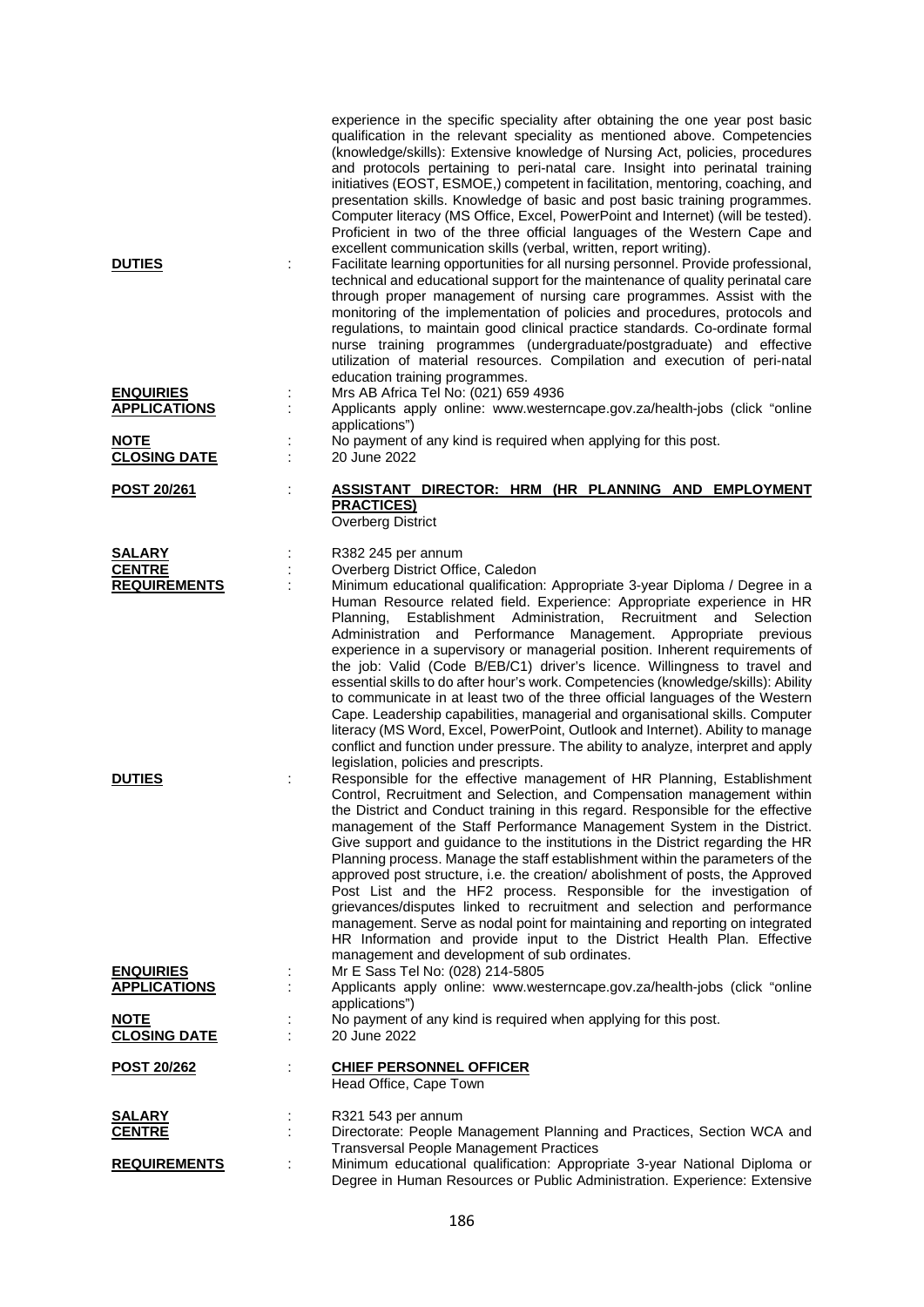| <b>DUTIES</b>                                                          |   | experience in the specific speciality after obtaining the one year post basic<br>qualification in the relevant speciality as mentioned above. Competencies<br>(knowledge/skills): Extensive knowledge of Nursing Act, policies, procedures<br>and protocols pertaining to peri-natal care. Insight into perinatal training<br>initiatives (EOST, ESMOE,) competent in facilitation, mentoring, coaching, and<br>presentation skills. Knowledge of basic and post basic training programmes.<br>Computer literacy (MS Office, Excel, PowerPoint and Internet) (will be tested).<br>Proficient in two of the three official languages of the Western Cape and<br>excellent communication skills (verbal, written, report writing).<br>Facilitate learning opportunities for all nursing personnel. Provide professional,<br>technical and educational support for the maintenance of quality perinatal care<br>through proper management of nursing care programmes. Assist with the<br>monitoring of the implementation of policies and procedures, protocols and<br>regulations, to maintain good clinical practice standards. Co-ordinate formal<br>nurse training programmes (undergraduate/postgraduate) and effective<br>utilization of material resources. Compilation and execution of peri-natal<br>education training programmes.                                                                                                                                                                                                                                                                                                                                                                                                                                                                                                                                                                                                             |
|------------------------------------------------------------------------|---|-------------------------------------------------------------------------------------------------------------------------------------------------------------------------------------------------------------------------------------------------------------------------------------------------------------------------------------------------------------------------------------------------------------------------------------------------------------------------------------------------------------------------------------------------------------------------------------------------------------------------------------------------------------------------------------------------------------------------------------------------------------------------------------------------------------------------------------------------------------------------------------------------------------------------------------------------------------------------------------------------------------------------------------------------------------------------------------------------------------------------------------------------------------------------------------------------------------------------------------------------------------------------------------------------------------------------------------------------------------------------------------------------------------------------------------------------------------------------------------------------------------------------------------------------------------------------------------------------------------------------------------------------------------------------------------------------------------------------------------------------------------------------------------------------------------------------------------------------------------------------------------------------------------------------------------------------------|
| <b>ENQUIRIES</b><br><b>APPLICATIONS</b>                                | ÷ | Mrs AB Africa Tel No: (021) 659 4936<br>Applicants apply online: www.westerncape.gov.za/health-jobs (click "online<br>applications")                                                                                                                                                                                                                                                                                                                                                                                                                                                                                                                                                                                                                                                                                                                                                                                                                                                                                                                                                                                                                                                                                                                                                                                                                                                                                                                                                                                                                                                                                                                                                                                                                                                                                                                                                                                                                  |
| <b>NOTE</b><br><b>CLOSING DATE</b>                                     |   | No payment of any kind is required when applying for this post.<br>20 June 2022                                                                                                                                                                                                                                                                                                                                                                                                                                                                                                                                                                                                                                                                                                                                                                                                                                                                                                                                                                                                                                                                                                                                                                                                                                                                                                                                                                                                                                                                                                                                                                                                                                                                                                                                                                                                                                                                       |
| POST 20/261                                                            |   | ASSISTANT DIRECTOR: HRM (HR PLANNING AND EMPLOYMENT<br><b>PRACTICES)</b><br><b>Overberg District</b>                                                                                                                                                                                                                                                                                                                                                                                                                                                                                                                                                                                                                                                                                                                                                                                                                                                                                                                                                                                                                                                                                                                                                                                                                                                                                                                                                                                                                                                                                                                                                                                                                                                                                                                                                                                                                                                  |
| <b>SALARY</b><br><b>CENTRE</b><br><b>REQUIREMENTS</b><br><b>DUTIES</b> |   | R382 245 per annum<br>Overberg District Office, Caledon<br>Minimum educational qualification: Appropriate 3-year Diploma / Degree in a<br>Human Resource related field. Experience: Appropriate experience in HR<br>Establishment Administration, Recruitment<br>and<br>Selection<br>Planning,<br>Performance<br>Administration<br>and<br>Management. Appropriate<br>previous<br>experience in a supervisory or managerial position. Inherent requirements of<br>the job: Valid (Code B/EB/C1) driver's licence. Willingness to travel and<br>essential skills to do after hour's work. Competencies (knowledge/skills): Ability<br>to communicate in at least two of the three official languages of the Western<br>Cape. Leadership capabilities, managerial and organisational skills. Computer<br>literacy (MS Word, Excel, PowerPoint, Outlook and Internet). Ability to manage<br>conflict and function under pressure. The ability to analyze, interpret and apply<br>legislation, policies and prescripts.<br>Responsible for the effective management of HR Planning, Establishment<br>Control, Recruitment and Selection, and Compensation management within<br>the District and Conduct training in this regard. Responsible for the effective<br>management of the Staff Performance Management System in the District.<br>Give support and guidance to the institutions in the District regarding the HR<br>Planning process. Manage the staff establishment within the parameters of the<br>approved post structure, i.e. the creation/ abolishment of posts, the Approved<br>Post List and the HF2 process. Responsible for the investigation of<br>grievances/disputes linked to recruitment and selection and performance<br>management. Serve as nodal point for maintaining and reporting on integrated<br>HR Information and provide input to the District Health Plan. Effective<br>management and development of sub ordinates. |
| <b>ENQUIRIES</b><br><b>APPLICATIONS</b>                                |   | Mr E Sass Tel No: (028) 214-5805<br>Applicants apply online: www.westerncape.gov.za/health-jobs (click "online<br>applications")                                                                                                                                                                                                                                                                                                                                                                                                                                                                                                                                                                                                                                                                                                                                                                                                                                                                                                                                                                                                                                                                                                                                                                                                                                                                                                                                                                                                                                                                                                                                                                                                                                                                                                                                                                                                                      |
| <b>NOTE</b><br><b>CLOSING DATE</b>                                     |   | No payment of any kind is required when applying for this post.<br>20 June 2022                                                                                                                                                                                                                                                                                                                                                                                                                                                                                                                                                                                                                                                                                                                                                                                                                                                                                                                                                                                                                                                                                                                                                                                                                                                                                                                                                                                                                                                                                                                                                                                                                                                                                                                                                                                                                                                                       |
| <u>POST 20/262</u>                                                     |   | <b>CHIEF PERSONNEL OFFICER</b><br>Head Office, Cape Town                                                                                                                                                                                                                                                                                                                                                                                                                                                                                                                                                                                                                                                                                                                                                                                                                                                                                                                                                                                                                                                                                                                                                                                                                                                                                                                                                                                                                                                                                                                                                                                                                                                                                                                                                                                                                                                                                              |
| <b>SALARY</b><br><b>CENTRE</b>                                         |   | R321 543 per annum<br>Directorate: People Management Planning and Practices, Section WCA and<br><b>Transversal People Management Practices</b>                                                                                                                                                                                                                                                                                                                                                                                                                                                                                                                                                                                                                                                                                                                                                                                                                                                                                                                                                                                                                                                                                                                                                                                                                                                                                                                                                                                                                                                                                                                                                                                                                                                                                                                                                                                                        |
| <b>REQUIREMENTS</b>                                                    |   | Minimum educational qualification: Appropriate 3-year National Diploma or<br>Degree in Human Resources or Public Administration. Experience: Extensive                                                                                                                                                                                                                                                                                                                                                                                                                                                                                                                                                                                                                                                                                                                                                                                                                                                                                                                                                                                                                                                                                                                                                                                                                                                                                                                                                                                                                                                                                                                                                                                                                                                                                                                                                                                                |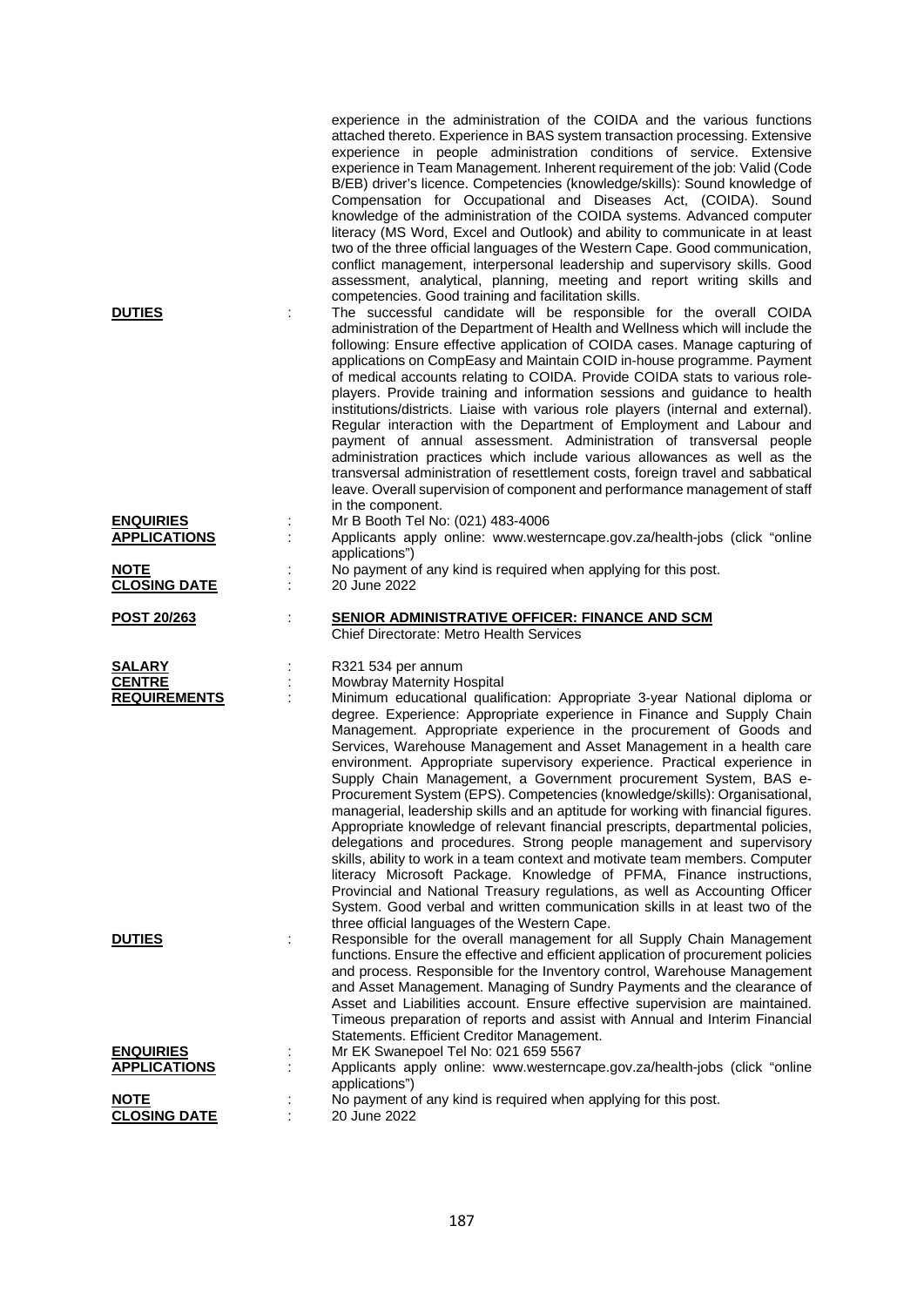|                                                |        | experience in the administration of the COIDA and the various functions<br>attached thereto. Experience in BAS system transaction processing. Extensive<br>experience in people administration conditions of service. Extensive<br>experience in Team Management. Inherent requirement of the job: Valid (Code<br>B/EB) driver's licence. Competencies (knowledge/skills): Sound knowledge of<br>Compensation for Occupational and Diseases Act, (COIDA). Sound<br>knowledge of the administration of the COIDA systems. Advanced computer<br>literacy (MS Word, Excel and Outlook) and ability to communicate in at least<br>two of the three official languages of the Western Cape. Good communication,<br>conflict management, interpersonal leadership and supervisory skills. Good<br>assessment, analytical, planning, meeting and report writing skills and                                                                                                                                                                                                                                                                                                                                        |
|------------------------------------------------|--------|------------------------------------------------------------------------------------------------------------------------------------------------------------------------------------------------------------------------------------------------------------------------------------------------------------------------------------------------------------------------------------------------------------------------------------------------------------------------------------------------------------------------------------------------------------------------------------------------------------------------------------------------------------------------------------------------------------------------------------------------------------------------------------------------------------------------------------------------------------------------------------------------------------------------------------------------------------------------------------------------------------------------------------------------------------------------------------------------------------------------------------------------------------------------------------------------------------|
| <b>DUTIES</b>                                  |        | competencies. Good training and facilitation skills.<br>The successful candidate will be responsible for the overall COIDA<br>administration of the Department of Health and Wellness which will include the<br>following: Ensure effective application of COIDA cases. Manage capturing of<br>applications on CompEasy and Maintain COID in-house programme. Payment<br>of medical accounts relating to COIDA. Provide COIDA stats to various role-<br>players. Provide training and information sessions and guidance to health<br>institutions/districts. Liaise with various role players (internal and external).<br>Regular interaction with the Department of Employment and Labour and<br>payment of annual assessment. Administration of transversal people<br>administration practices which include various allowances as well as the<br>transversal administration of resettlement costs, foreign travel and sabbatical<br>leave. Overall supervision of component and performance management of staff<br>in the component.                                                                                                                                                                    |
| <b>ENQUIRIES</b><br><b>APPLICATIONS</b>        |        | Mr B Booth Tel No: (021) 483-4006<br>Applicants apply online: www.westerncape.gov.za/health-jobs (click "online<br>applications")                                                                                                                                                                                                                                                                                                                                                                                                                                                                                                                                                                                                                                                                                                                                                                                                                                                                                                                                                                                                                                                                          |
| <b>NOTE</b><br><b>CLOSING DATE</b>             |        | No payment of any kind is required when applying for this post.<br>20 June 2022                                                                                                                                                                                                                                                                                                                                                                                                                                                                                                                                                                                                                                                                                                                                                                                                                                                                                                                                                                                                                                                                                                                            |
| POST 20/263                                    |        | <b>SENIOR ADMINISTRATIVE OFFICER: FINANCE AND SCM</b><br><b>Chief Directorate: Metro Health Services</b>                                                                                                                                                                                                                                                                                                                                                                                                                                                                                                                                                                                                                                                                                                                                                                                                                                                                                                                                                                                                                                                                                                   |
| SALARY<br><b>CENTRE</b><br><b>REQUIREMENTS</b> | ÷<br>÷ | R321 534 per annum<br>Mowbray Maternity Hospital<br>Minimum educational qualification: Appropriate 3-year National diploma or<br>degree. Experience: Appropriate experience in Finance and Supply Chain<br>Management. Appropriate experience in the procurement of Goods and<br>Services, Warehouse Management and Asset Management in a health care<br>environment. Appropriate supervisory experience. Practical experience in<br>Supply Chain Management, a Government procurement System, BAS e-<br>Procurement System (EPS). Competencies (knowledge/skills): Organisational,<br>managerial, leadership skills and an aptitude for working with financial figures.<br>Appropriate knowledge of relevant financial prescripts, departmental policies,<br>delegations and procedures. Strong people management and supervisory<br>skills, ability to work in a team context and motivate team members. Computer<br>literacy Microsoft Package. Knowledge of PFMA, Finance instructions,<br>Provincial and National Treasury regulations, as well as Accounting Officer<br>System. Good verbal and written communication skills in at least two of the<br>three official languages of the Western Cape. |
| <b>DUTIES</b>                                  |        | Responsible for the overall management for all Supply Chain Management<br>functions. Ensure the effective and efficient application of procurement policies<br>and process. Responsible for the Inventory control, Warehouse Management<br>and Asset Management. Managing of Sundry Payments and the clearance of<br>Asset and Liabilities account. Ensure effective supervision are maintained.<br>Timeous preparation of reports and assist with Annual and Interim Financial<br>Statements. Efficient Creditor Management.                                                                                                                                                                                                                                                                                                                                                                                                                                                                                                                                                                                                                                                                              |
| <b>ENQUIRIES</b><br><b>APPLICATIONS</b>        |        | Mr EK Swanepoel Tel No: 021 659 5567<br>Applicants apply online: www.westerncape.gov.za/health-jobs (click "online<br>applications")                                                                                                                                                                                                                                                                                                                                                                                                                                                                                                                                                                                                                                                                                                                                                                                                                                                                                                                                                                                                                                                                       |
| <b>NOTE</b>                                    |        | No payment of any kind is required when applying for this post.                                                                                                                                                                                                                                                                                                                                                                                                                                                                                                                                                                                                                                                                                                                                                                                                                                                                                                                                                                                                                                                                                                                                            |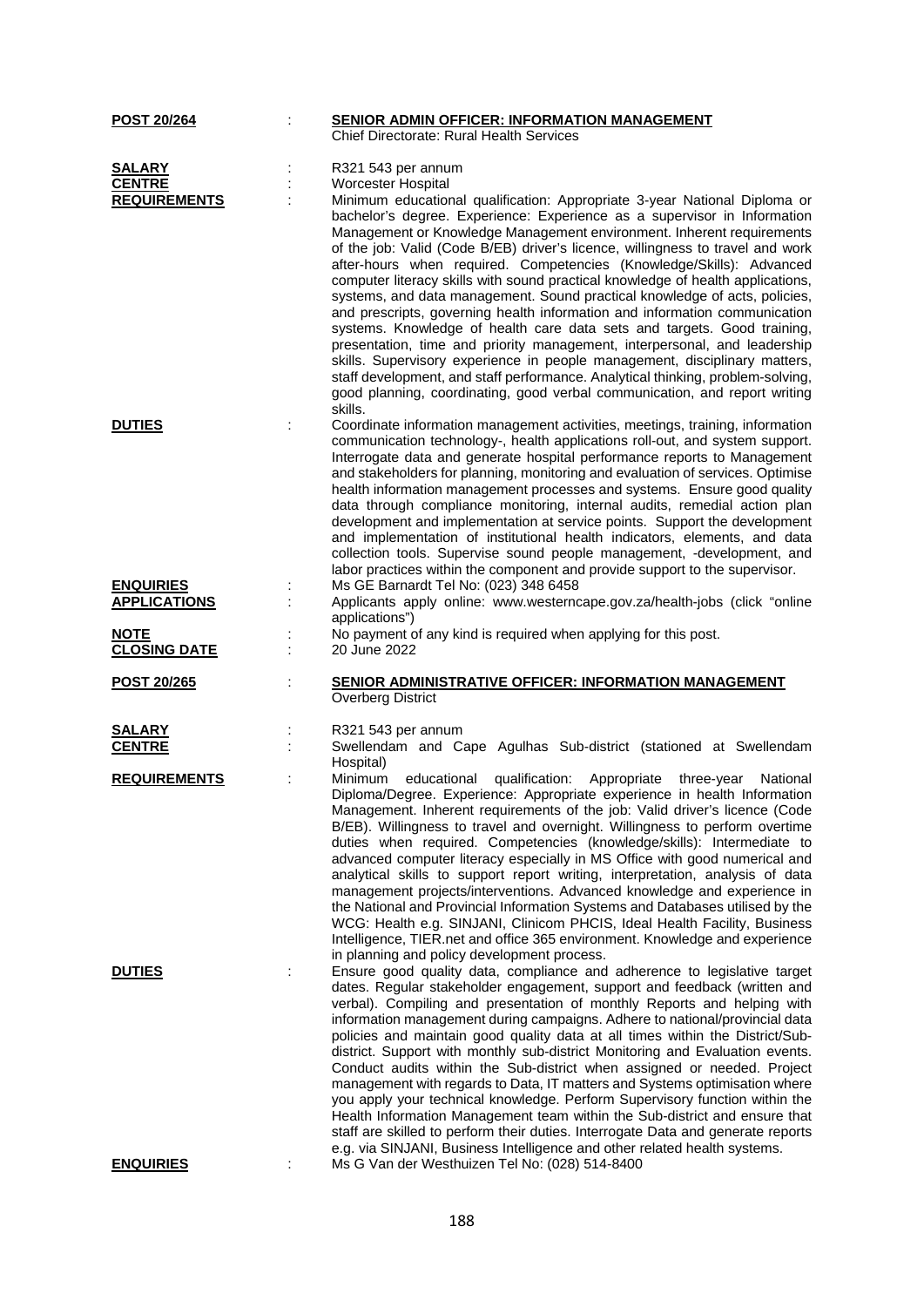| <u>POST 20/264</u>  |   | <b>SENIOR ADMIN OFFICER: INFORMATION MANAGEMENT</b><br><b>Chief Directorate: Rural Health Services</b>                                                                                                                                                                                                                                                                                                                                                                                                                                                                                                                                                                                                                                                                                                                                                                                                                                                                                                                                                    |
|---------------------|---|-----------------------------------------------------------------------------------------------------------------------------------------------------------------------------------------------------------------------------------------------------------------------------------------------------------------------------------------------------------------------------------------------------------------------------------------------------------------------------------------------------------------------------------------------------------------------------------------------------------------------------------------------------------------------------------------------------------------------------------------------------------------------------------------------------------------------------------------------------------------------------------------------------------------------------------------------------------------------------------------------------------------------------------------------------------|
|                     |   |                                                                                                                                                                                                                                                                                                                                                                                                                                                                                                                                                                                                                                                                                                                                                                                                                                                                                                                                                                                                                                                           |
| <b>SALARY</b>       |   | R321 543 per annum                                                                                                                                                                                                                                                                                                                                                                                                                                                                                                                                                                                                                                                                                                                                                                                                                                                                                                                                                                                                                                        |
| <b>CENTRE</b>       |   | Worcester Hospital                                                                                                                                                                                                                                                                                                                                                                                                                                                                                                                                                                                                                                                                                                                                                                                                                                                                                                                                                                                                                                        |
| <b>REQUIREMENTS</b> |   | Minimum educational qualification: Appropriate 3-year National Diploma or<br>bachelor's degree. Experience: Experience as a supervisor in Information<br>Management or Knowledge Management environment. Inherent requirements<br>of the job: Valid (Code B/EB) driver's licence, willingness to travel and work<br>after-hours when required. Competencies (Knowledge/Skills): Advanced<br>computer literacy skills with sound practical knowledge of health applications,<br>systems, and data management. Sound practical knowledge of acts, policies,<br>and prescripts, governing health information and information communication<br>systems. Knowledge of health care data sets and targets. Good training,<br>presentation, time and priority management, interpersonal, and leadership<br>skills. Supervisory experience in people management, disciplinary matters,<br>staff development, and staff performance. Analytical thinking, problem-solving,<br>good planning, coordinating, good verbal communication, and report writing<br>skills. |
| <b>DUTIES</b>       | ÷ | Coordinate information management activities, meetings, training, information                                                                                                                                                                                                                                                                                                                                                                                                                                                                                                                                                                                                                                                                                                                                                                                                                                                                                                                                                                             |
|                     |   | communication technology-, health applications roll-out, and system support.<br>Interrogate data and generate hospital performance reports to Management<br>and stakeholders for planning, monitoring and evaluation of services. Optimise<br>health information management processes and systems. Ensure good quality<br>data through compliance monitoring, internal audits, remedial action plan<br>development and implementation at service points. Support the development<br>and implementation of institutional health indicators, elements, and data<br>collection tools. Supervise sound people management, -development, and<br>labor practices within the component and provide support to the supervisor.                                                                                                                                                                                                                                                                                                                                    |
| <b>ENQUIRIES</b>    |   | Ms GE Barnardt Tel No: (023) 348 6458                                                                                                                                                                                                                                                                                                                                                                                                                                                                                                                                                                                                                                                                                                                                                                                                                                                                                                                                                                                                                     |
| <b>APPLICATIONS</b> |   | Applicants apply online: www.westerncape.gov.za/health-jobs (click "online                                                                                                                                                                                                                                                                                                                                                                                                                                                                                                                                                                                                                                                                                                                                                                                                                                                                                                                                                                                |
| <b>NOTE</b>         |   | applications")                                                                                                                                                                                                                                                                                                                                                                                                                                                                                                                                                                                                                                                                                                                                                                                                                                                                                                                                                                                                                                            |
| <b>CLOSING DATE</b> | ÷ | No payment of any kind is required when applying for this post.<br>20 June 2022                                                                                                                                                                                                                                                                                                                                                                                                                                                                                                                                                                                                                                                                                                                                                                                                                                                                                                                                                                           |
| POST 20/265         |   | SENIOR ADMINISTRATIVE OFFICER: INFORMATION MANAGEMENT<br>Overberg District                                                                                                                                                                                                                                                                                                                                                                                                                                                                                                                                                                                                                                                                                                                                                                                                                                                                                                                                                                                |
| <b>SALARY</b>       |   | R321 543 per annum                                                                                                                                                                                                                                                                                                                                                                                                                                                                                                                                                                                                                                                                                                                                                                                                                                                                                                                                                                                                                                        |
| <b>CENTRE</b>       |   | Swellendam and Cape Agulhas Sub-district (stationed at Swellendam                                                                                                                                                                                                                                                                                                                                                                                                                                                                                                                                                                                                                                                                                                                                                                                                                                                                                                                                                                                         |
|                     |   | Hospital)                                                                                                                                                                                                                                                                                                                                                                                                                                                                                                                                                                                                                                                                                                                                                                                                                                                                                                                                                                                                                                                 |
| <b>REQUIREMENTS</b> | t | Minimum<br>educational<br>qualification: Appropriate three-year<br>National<br>Diploma/Degree. Experience: Appropriate experience in health Information<br>Management. Inherent requirements of the job: Valid driver's licence (Code<br>B/EB). Willingness to travel and overnight. Willingness to perform overtime<br>duties when required. Competencies (knowledge/skills): Intermediate to<br>advanced computer literacy especially in MS Office with good numerical and<br>analytical skills to support report writing, interpretation, analysis of data<br>management projects/interventions. Advanced knowledge and experience in<br>the National and Provincial Information Systems and Databases utilised by the<br>WCG: Health e.g. SINJANI, Clinicom PHCIS, Ideal Health Facility, Business<br>Intelligence, TIER.net and office 365 environment. Knowledge and experience<br>in planning and policy development process.                                                                                                                      |
| <b>DUTIES</b>       |   | Ensure good quality data, compliance and adherence to legislative target<br>dates. Regular stakeholder engagement, support and feedback (written and<br>verbal). Compiling and presentation of monthly Reports and helping with<br>information management during campaigns. Adhere to national/provincial data<br>policies and maintain good quality data at all times within the District/Sub-<br>district. Support with monthly sub-district Monitoring and Evaluation events.<br>Conduct audits within the Sub-district when assigned or needed. Project<br>management with regards to Data, IT matters and Systems optimisation where<br>you apply your technical knowledge. Perform Supervisory function within the<br>Health Information Management team within the Sub-district and ensure that<br>staff are skilled to perform their duties. Interrogate Data and generate reports<br>e.g. via SINJANI, Business Intelligence and other related health systems.                                                                                   |
| <b>ENQUIRIES</b>    |   | Ms G Van der Westhuizen Tel No: (028) 514-8400                                                                                                                                                                                                                                                                                                                                                                                                                                                                                                                                                                                                                                                                                                                                                                                                                                                                                                                                                                                                            |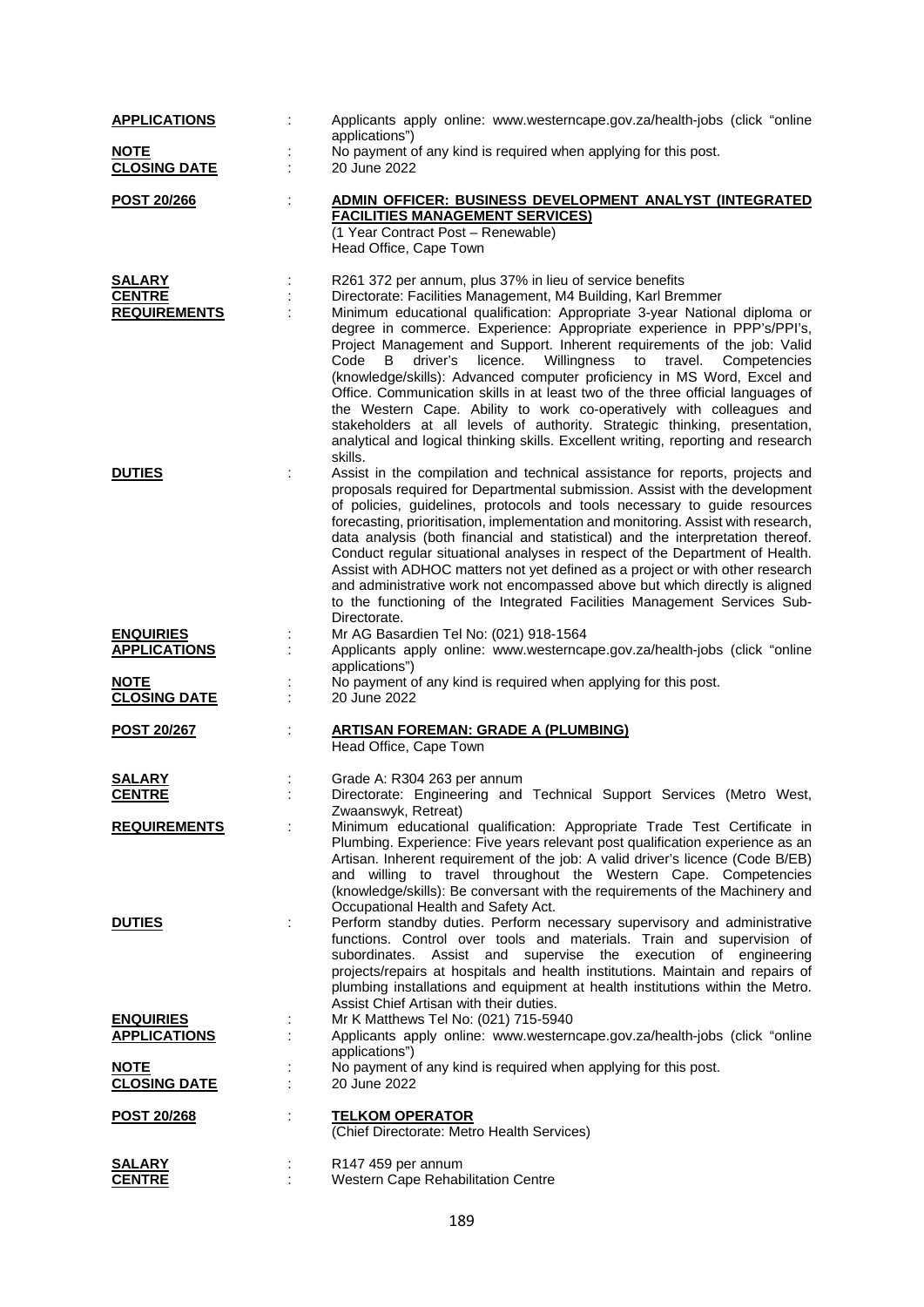| <b>APPLICATIONS</b>                                    | Applicants apply online: www.westerncape.gov.za/health-jobs (click "online<br>applications")                                                                                                                                                                                                                                                                                                                                                                                                                                                                                                                                                                                                                                                                                                                                                             |
|--------------------------------------------------------|----------------------------------------------------------------------------------------------------------------------------------------------------------------------------------------------------------------------------------------------------------------------------------------------------------------------------------------------------------------------------------------------------------------------------------------------------------------------------------------------------------------------------------------------------------------------------------------------------------------------------------------------------------------------------------------------------------------------------------------------------------------------------------------------------------------------------------------------------------|
| <b>NOTE</b><br><b>CLOSING DATE</b>                     | No payment of any kind is required when applying for this post.<br>20 June 2022                                                                                                                                                                                                                                                                                                                                                                                                                                                                                                                                                                                                                                                                                                                                                                          |
| POST 20/266                                            | ADMIN OFFICER: BUSINESS DEVELOPMENT ANALYST (INTEGRATED<br><b>FACILITIES MANAGEMENT SERVICES)</b><br>(1 Year Contract Post - Renewable)<br>Head Office, Cape Town                                                                                                                                                                                                                                                                                                                                                                                                                                                                                                                                                                                                                                                                                        |
| <b>SALARY</b><br><b>CENTRE</b><br><b>REQUIREMENTS</b>  | R261 372 per annum, plus 37% in lieu of service benefits<br>Directorate: Facilities Management, M4 Building, Karl Bremmer<br>Minimum educational qualification: Appropriate 3-year National diploma or<br>degree in commerce. Experience: Appropriate experience in PPP's/PPI's,<br>Project Management and Support. Inherent requirements of the job: Valid<br>licence. Willingness to travel. Competencies<br>Code<br>B<br>driver's<br>(knowledge/skills): Advanced computer proficiency in MS Word, Excel and<br>Office. Communication skills in at least two of the three official languages of<br>the Western Cape. Ability to work co-operatively with colleagues and<br>stakeholders at all levels of authority. Strategic thinking, presentation,<br>analytical and logical thinking skills. Excellent writing, reporting and research<br>skills. |
| <b>DUTIES</b>                                          | Assist in the compilation and technical assistance for reports, projects and<br>proposals required for Departmental submission. Assist with the development<br>of policies, guidelines, protocols and tools necessary to guide resources<br>forecasting, prioritisation, implementation and monitoring. Assist with research,<br>data analysis (both financial and statistical) and the interpretation thereof.<br>Conduct regular situational analyses in respect of the Department of Health.<br>Assist with ADHOC matters not yet defined as a project or with other research<br>and administrative work not encompassed above but which directly is aligned<br>to the functioning of the Integrated Facilities Management Services Sub-<br>Directorate.                                                                                              |
| <b>ENQUIRIES</b><br><b>APPLICATIONS</b>                | Mr AG Basardien Tel No: (021) 918-1564<br>Applicants apply online: www.westerncape.gov.za/health-jobs (click "online<br>applications")                                                                                                                                                                                                                                                                                                                                                                                                                                                                                                                                                                                                                                                                                                                   |
| <b>NOTE</b><br><b>CLOSING DATE</b>                     | No payment of any kind is required when applying for this post.<br>20 June 2022                                                                                                                                                                                                                                                                                                                                                                                                                                                                                                                                                                                                                                                                                                                                                                          |
| <b>POST 20/267</b>                                     | <b>ARTISAN FOREMAN: GRADE A (PLUMBING)</b><br>Head Office, Cape Town                                                                                                                                                                                                                                                                                                                                                                                                                                                                                                                                                                                                                                                                                                                                                                                     |
| <b>SALARY</b><br><b>CENTRE</b>                         | Grade A: R304 263 per annum<br>Directorate: Engineering and Technical Support Services (Metro West,<br>Zwaanswyk, Retreat)                                                                                                                                                                                                                                                                                                                                                                                                                                                                                                                                                                                                                                                                                                                               |
| <b>REQUIREMENTS</b><br><b>DUTIES</b>                   | Minimum educational qualification: Appropriate Trade Test Certificate in<br>Plumbing. Experience: Five years relevant post qualification experience as an<br>Artisan. Inherent requirement of the job: A valid driver's licence (Code B/EB)<br>and willing to travel throughout the Western Cape. Competencies<br>(knowledge/skills): Be conversant with the requirements of the Machinery and<br>Occupational Health and Safety Act.<br>Perform standby duties. Perform necessary supervisory and administrative<br>functions. Control over tools and materials. Train and supervision of<br>subordinates. Assist and supervise the execution of engineering<br>projects/repairs at hospitals and health institutions. Maintain and repairs of                                                                                                          |
| <b>ENQUIRIES</b><br><b>APPLICATIONS</b><br><b>NOTE</b> | plumbing installations and equipment at health institutions within the Metro.<br>Assist Chief Artisan with their duties.<br>Mr K Matthews Tel No: (021) 715-5940<br>Applicants apply online: www.westerncape.gov.za/health-jobs (click "online<br>applications")<br>No payment of any kind is required when applying for this post.                                                                                                                                                                                                                                                                                                                                                                                                                                                                                                                      |
| <b>CLOSING DATE</b>                                    | 20 June 2022                                                                                                                                                                                                                                                                                                                                                                                                                                                                                                                                                                                                                                                                                                                                                                                                                                             |
| <u>POST 20/268</u>                                     | <u>TELKOM OPERATOR</u><br>(Chief Directorate: Metro Health Services)                                                                                                                                                                                                                                                                                                                                                                                                                                                                                                                                                                                                                                                                                                                                                                                     |
| SALARY<br><b>CENTRE</b>                                | R147 459 per annum<br>Western Cape Rehabilitation Centre                                                                                                                                                                                                                                                                                                                                                                                                                                                                                                                                                                                                                                                                                                                                                                                                 |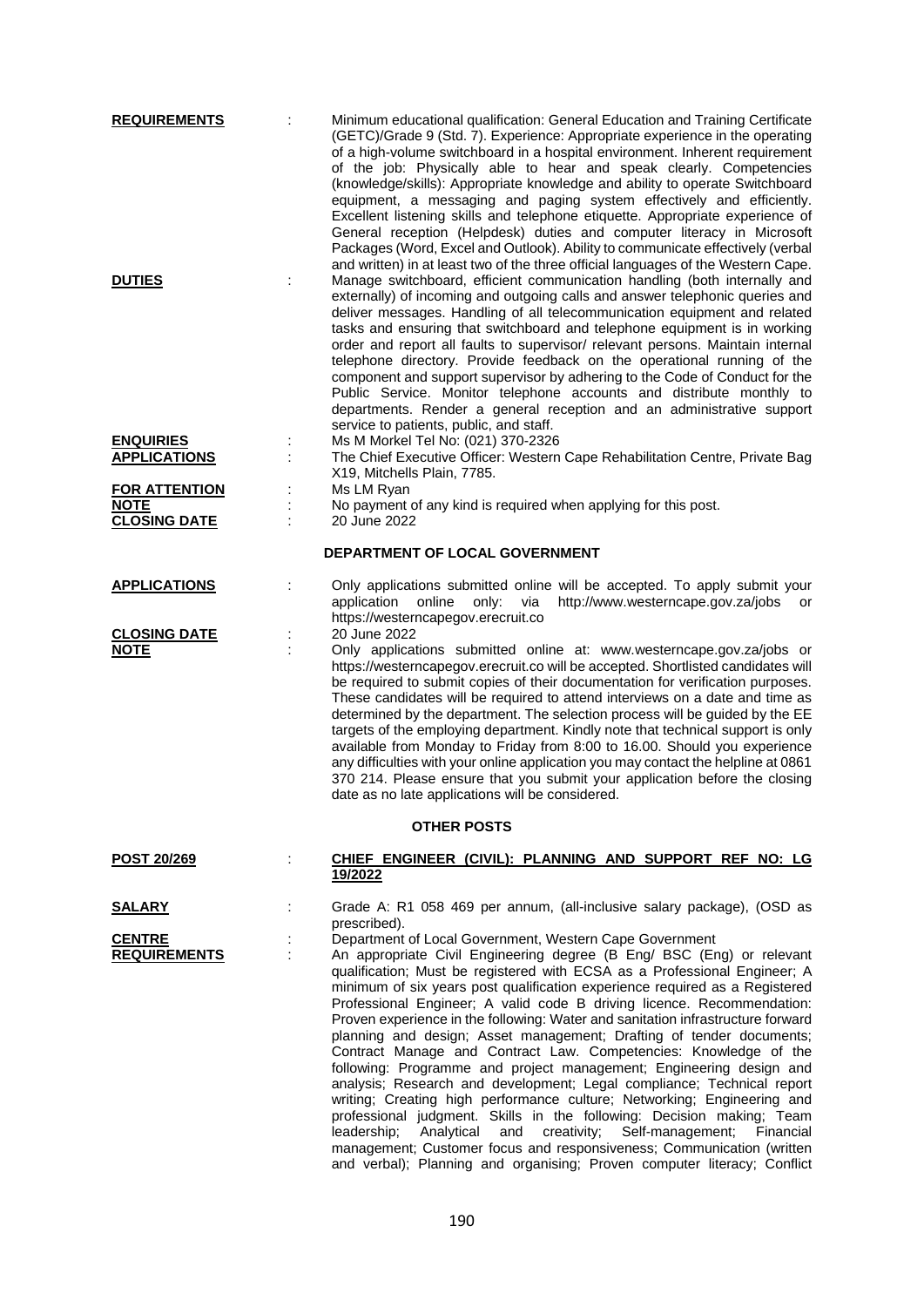| <b>REQUIREMENTS</b>                     |    | Minimum educational qualification: General Education and Training Certificate<br>(GETC)/Grade 9 (Std. 7). Experience: Appropriate experience in the operating<br>of a high-volume switchboard in a hospital environment. Inherent requirement<br>of the job: Physically able to hear and speak clearly. Competencies<br>(knowledge/skills): Appropriate knowledge and ability to operate Switchboard<br>equipment, a messaging and paging system effectively and efficiently.<br>Excellent listening skills and telephone etiquette. Appropriate experience of<br>General reception (Helpdesk) duties and computer literacy in Microsoft<br>Packages (Word, Excel and Outlook). Ability to communicate effectively (verbal                                                                                                                                                                                                                                                                                                                                                            |
|-----------------------------------------|----|---------------------------------------------------------------------------------------------------------------------------------------------------------------------------------------------------------------------------------------------------------------------------------------------------------------------------------------------------------------------------------------------------------------------------------------------------------------------------------------------------------------------------------------------------------------------------------------------------------------------------------------------------------------------------------------------------------------------------------------------------------------------------------------------------------------------------------------------------------------------------------------------------------------------------------------------------------------------------------------------------------------------------------------------------------------------------------------|
| <b>DUTIES</b>                           |    | and written) in at least two of the three official languages of the Western Cape.<br>Manage switchboard, efficient communication handling (both internally and<br>externally) of incoming and outgoing calls and answer telephonic queries and<br>deliver messages. Handling of all telecommunication equipment and related<br>tasks and ensuring that switchboard and telephone equipment is in working<br>order and report all faults to supervisor/ relevant persons. Maintain internal<br>telephone directory. Provide feedback on the operational running of the<br>component and support supervisor by adhering to the Code of Conduct for the<br>Public Service. Monitor telephone accounts and distribute monthly to<br>departments. Render a general reception and an administrative support<br>service to patients, public, and staff.                                                                                                                                                                                                                                      |
| <b>ENQUIRIES</b><br><b>APPLICATIONS</b> |    | Ms M Morkel Tel No: (021) 370-2326<br>The Chief Executive Officer: Western Cape Rehabilitation Centre, Private Bag                                                                                                                                                                                                                                                                                                                                                                                                                                                                                                                                                                                                                                                                                                                                                                                                                                                                                                                                                                    |
| <b>FOR ATTENTION</b>                    |    | X19, Mitchells Plain, 7785.<br>Ms LM Ryan                                                                                                                                                                                                                                                                                                                                                                                                                                                                                                                                                                                                                                                                                                                                                                                                                                                                                                                                                                                                                                             |
| <b>NOTE</b>                             |    | No payment of any kind is required when applying for this post.                                                                                                                                                                                                                                                                                                                                                                                                                                                                                                                                                                                                                                                                                                                                                                                                                                                                                                                                                                                                                       |
| <b>CLOSING DATE</b>                     |    | 20 June 2022                                                                                                                                                                                                                                                                                                                                                                                                                                                                                                                                                                                                                                                                                                                                                                                                                                                                                                                                                                                                                                                                          |
|                                         |    | DEPARTMENT OF LOCAL GOVERNMENT                                                                                                                                                                                                                                                                                                                                                                                                                                                                                                                                                                                                                                                                                                                                                                                                                                                                                                                                                                                                                                                        |
| <b>APPLICATIONS</b>                     |    | Only applications submitted online will be accepted. To apply submit your<br>http://www.westerncape.gov.za/jobs or<br>application<br>online<br>only:<br>via<br>https://westerncapegov.erecruit.co                                                                                                                                                                                                                                                                                                                                                                                                                                                                                                                                                                                                                                                                                                                                                                                                                                                                                     |
| <b>CLOSING DATE</b><br><u>NOTE</u>      | İ, | 20 June 2022<br>Only applications submitted online at: www.westerncape.gov.za/jobs or<br>https://westerncapegov.erecruit.co will be accepted. Shortlisted candidates will<br>be required to submit copies of their documentation for verification purposes.<br>These candidates will be required to attend interviews on a date and time as<br>determined by the department. The selection process will be guided by the EE<br>targets of the employing department. Kindly note that technical support is only<br>available from Monday to Friday from 8:00 to 16.00. Should you experience<br>any difficulties with your online application you may contact the helpline at 0861<br>370 214. Please ensure that you submit your application before the closing<br>date as no late applications will be considered.                                                                                                                                                                                                                                                                   |
|                                         |    | <b>OTHER POSTS</b>                                                                                                                                                                                                                                                                                                                                                                                                                                                                                                                                                                                                                                                                                                                                                                                                                                                                                                                                                                                                                                                                    |
| POST 20/269                             | t  | CHIEF ENGINEER (CIVIL): PLANNING AND SUPPORT REF NO: LG<br>19/2022                                                                                                                                                                                                                                                                                                                                                                                                                                                                                                                                                                                                                                                                                                                                                                                                                                                                                                                                                                                                                    |
| <b>SALARY</b>                           | t  | Grade A: R1 058 469 per annum, (all-inclusive salary package), (OSD as                                                                                                                                                                                                                                                                                                                                                                                                                                                                                                                                                                                                                                                                                                                                                                                                                                                                                                                                                                                                                |
| <b>CENTRE</b>                           |    | prescribed).<br>Department of Local Government, Western Cape Government                                                                                                                                                                                                                                                                                                                                                                                                                                                                                                                                                                                                                                                                                                                                                                                                                                                                                                                                                                                                               |
| <b>REQUIREMENTS</b>                     | ÷  | An appropriate Civil Engineering degree (B Eng/ BSC (Eng) or relevant<br>qualification; Must be registered with ECSA as a Professional Engineer; A<br>minimum of six years post qualification experience required as a Registered<br>Professional Engineer; A valid code B driving licence. Recommendation:<br>Proven experience in the following: Water and sanitation infrastructure forward<br>planning and design; Asset management; Drafting of tender documents;<br>Contract Manage and Contract Law. Competencies: Knowledge of the<br>following: Programme and project management; Engineering design and<br>analysis; Research and development; Legal compliance; Technical report<br>writing; Creating high performance culture; Networking; Engineering and<br>professional judgment. Skills in the following: Decision making; Team<br>leadership;<br>creativity; Self-management;<br>Analytical<br>and<br>Financial<br>management; Customer focus and responsiveness; Communication (written<br>and verbal); Planning and organising; Proven computer literacy; Conflict |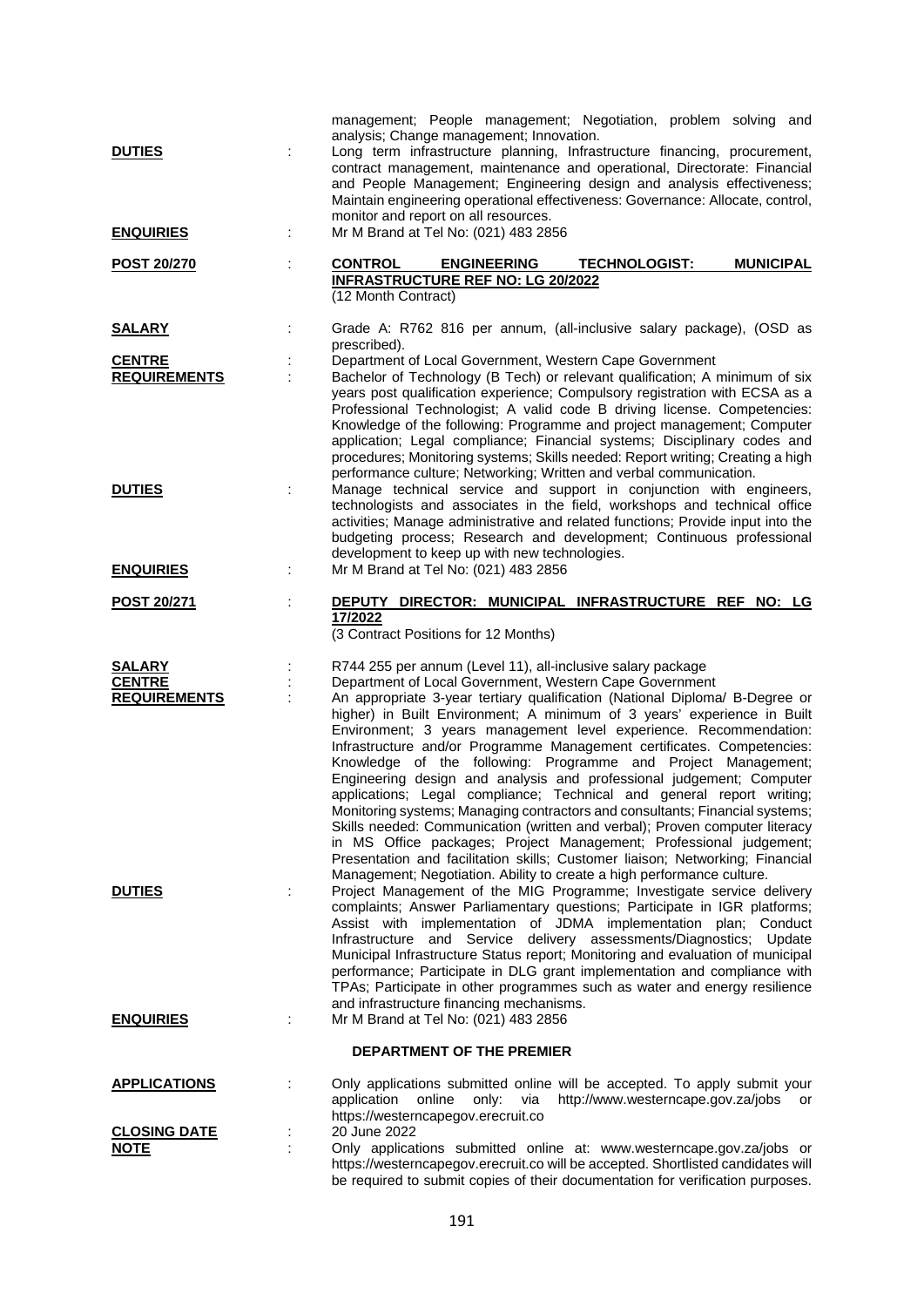| <b>DUTIES</b><br><b>ENQUIRIES</b>                     | management; People management; Negotiation, problem solving and<br>analysis; Change management; Innovation.<br>Long term infrastructure planning, Infrastructure financing, procurement,<br>contract management, maintenance and operational, Directorate: Financial<br>and People Management; Engineering design and analysis effectiveness;<br>Maintain engineering operational effectiveness: Governance: Allocate, control,<br>monitor and report on all resources.<br>Mr M Brand at Tel No: (021) 483 2856                                                                                                                                                                                                                                                                                                                                                                                                                                                                                                                                   |
|-------------------------------------------------------|---------------------------------------------------------------------------------------------------------------------------------------------------------------------------------------------------------------------------------------------------------------------------------------------------------------------------------------------------------------------------------------------------------------------------------------------------------------------------------------------------------------------------------------------------------------------------------------------------------------------------------------------------------------------------------------------------------------------------------------------------------------------------------------------------------------------------------------------------------------------------------------------------------------------------------------------------------------------------------------------------------------------------------------------------|
| <b>POST 20/270</b>                                    | <b>CONTROL</b><br><b>ENGINEERING</b><br><b>TECHNOLOGIST:</b><br><b>MUNICIPAL</b><br><b>INFRASTRUCTURE REF NO: LG 20/2022</b><br>(12 Month Contract)                                                                                                                                                                                                                                                                                                                                                                                                                                                                                                                                                                                                                                                                                                                                                                                                                                                                                               |
| <u>SALARY</u>                                         | Grade A: R762 816 per annum, (all-inclusive salary package), (OSD as                                                                                                                                                                                                                                                                                                                                                                                                                                                                                                                                                                                                                                                                                                                                                                                                                                                                                                                                                                              |
| <b>CENTRE</b><br><b>REQUIREMENTS</b>                  | prescribed).<br>Department of Local Government, Western Cape Government<br>Bachelor of Technology (B Tech) or relevant qualification; A minimum of six<br>years post qualification experience; Compulsory registration with ECSA as a<br>Professional Technologist; A valid code B driving license. Competencies:<br>Knowledge of the following: Programme and project management; Computer<br>application; Legal compliance; Financial systems; Disciplinary codes and<br>procedures; Monitoring systems; Skills needed: Report writing; Creating a high<br>performance culture; Networking; Written and verbal communication.                                                                                                                                                                                                                                                                                                                                                                                                                   |
| <b>DUTIES</b><br>Ì.                                   | Manage technical service and support in conjunction with engineers,<br>technologists and associates in the field, workshops and technical office<br>activities; Manage administrative and related functions; Provide input into the<br>budgeting process; Research and development; Continuous professional<br>development to keep up with new technologies.                                                                                                                                                                                                                                                                                                                                                                                                                                                                                                                                                                                                                                                                                      |
| <b>ENQUIRIES</b>                                      | Mr M Brand at Tel No: (021) 483 2856                                                                                                                                                                                                                                                                                                                                                                                                                                                                                                                                                                                                                                                                                                                                                                                                                                                                                                                                                                                                              |
| <b>POST 20/271</b>                                    | DEPUTY DIRECTOR: MUNICIPAL INFRASTRUCTURE REF NO: LG<br>17/2022<br>(3 Contract Positions for 12 Months)                                                                                                                                                                                                                                                                                                                                                                                                                                                                                                                                                                                                                                                                                                                                                                                                                                                                                                                                           |
| <b>SALARY</b><br><b>CENTRE</b><br><b>REQUIREMENTS</b> | R744 255 per annum (Level 11), all-inclusive salary package<br>Department of Local Government, Western Cape Government<br>An appropriate 3-year tertiary qualification (National Diploma/ B-Degree or<br>higher) in Built Environment; A minimum of 3 years' experience in Built<br>Environment; 3 years management level experience. Recommendation:<br>Infrastructure and/or Programme Management certificates. Competencies:<br>Knowledge of the following: Programme and Project Management;<br>Engineering design and analysis and professional judgement; Computer<br>applications; Legal compliance; Technical and general report writing;<br>Monitoring systems; Managing contractors and consultants; Financial systems;<br>Skills needed: Communication (written and verbal); Proven computer literacy<br>in MS Office packages; Project Management; Professional judgement;<br>Presentation and facilitation skills; Customer liaison; Networking; Financial<br>Management; Negotiation. Ability to create a high performance culture. |
| <b>DUTIES</b><br>t                                    | Project Management of the MIG Programme; Investigate service delivery<br>complaints; Answer Parliamentary questions; Participate in IGR platforms;<br>Assist with implementation of JDMA implementation plan; Conduct<br>Infrastructure and Service delivery assessments/Diagnostics; Update<br>Municipal Infrastructure Status report; Monitoring and evaluation of municipal<br>performance; Participate in DLG grant implementation and compliance with<br>TPAs; Participate in other programmes such as water and energy resilience<br>and infrastructure financing mechanisms.                                                                                                                                                                                                                                                                                                                                                                                                                                                               |
| <b>ENQUIRIES</b>                                      | Mr M Brand at Tel No: (021) 483 2856                                                                                                                                                                                                                                                                                                                                                                                                                                                                                                                                                                                                                                                                                                                                                                                                                                                                                                                                                                                                              |
|                                                       | <b>DEPARTMENT OF THE PREMIER</b>                                                                                                                                                                                                                                                                                                                                                                                                                                                                                                                                                                                                                                                                                                                                                                                                                                                                                                                                                                                                                  |
| <b>APPLICATIONS</b>                                   | Only applications submitted online will be accepted. To apply submit your<br>application<br>online<br>via<br>http://www.westerncape.gov.za/jobs or<br>only:<br>https://westerncapegov.erecruit.co                                                                                                                                                                                                                                                                                                                                                                                                                                                                                                                                                                                                                                                                                                                                                                                                                                                 |
| <b>CLOSING DATE</b><br><u>NOTE</u>                    | 20 June 2022<br>Only applications submitted online at: www.westerncape.gov.za/jobs or<br>https://westerncapegov.erecruit.co will be accepted. Shortlisted candidates will                                                                                                                                                                                                                                                                                                                                                                                                                                                                                                                                                                                                                                                                                                                                                                                                                                                                         |

be required to submit copies of their documentation for verification purposes.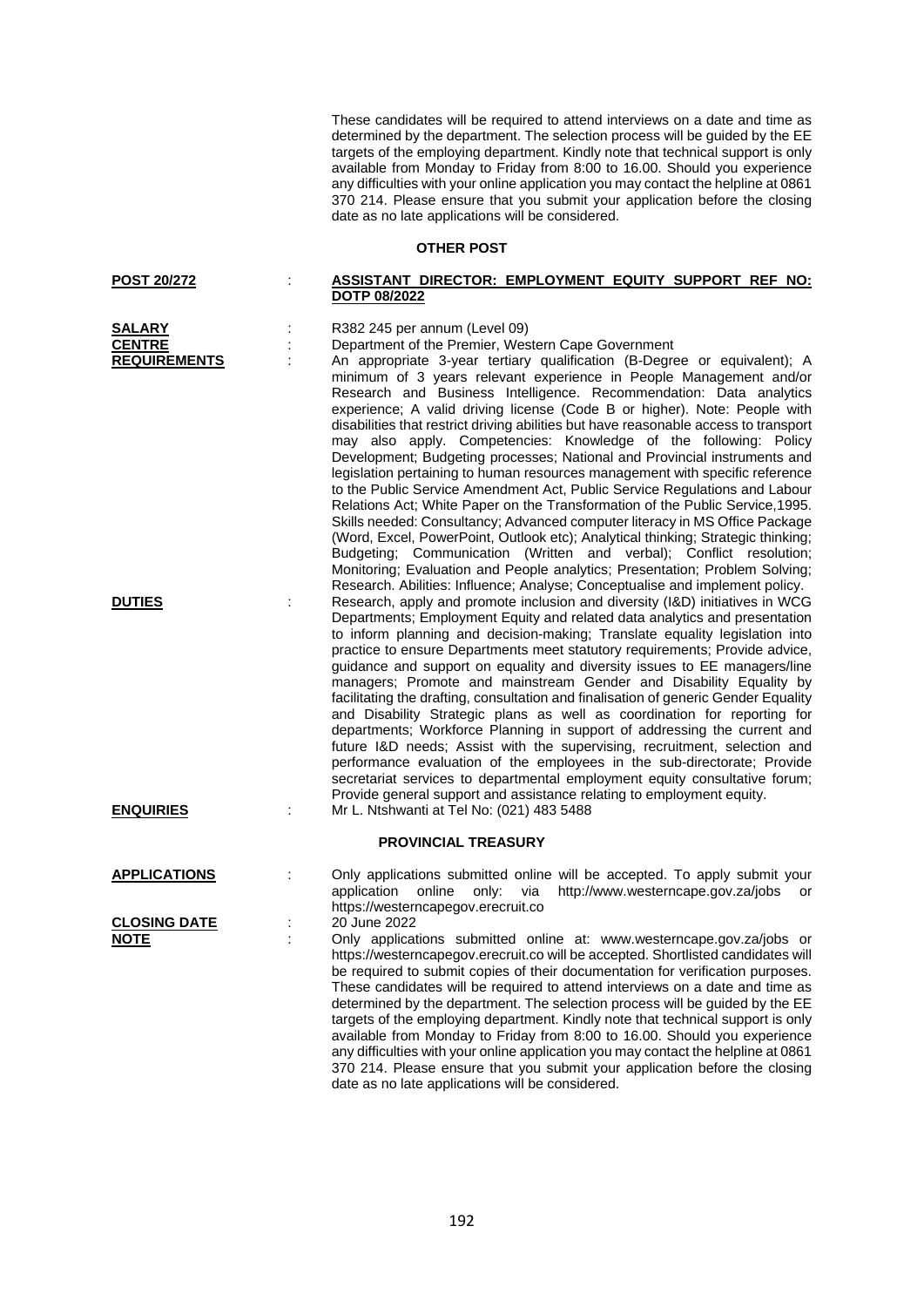These candidates will be required to attend interviews on a date and time as determined by the department. The selection process will be guided by the EE targets of the employing department. Kindly note that technical support is only available from Monday to Friday from 8:00 to 16.00. Should you experience any difficulties with your online application you may contact the helpline at 0861 370 214. Please ensure that you submit your application before the closing date as no late applications will be considered.

## **OTHER POST**

| <b>POST 20/272</b> |                     | ASSISTANT DIRECTOR: EMPLOYMENT EQUITY SUPPORT REF NO: |  |  |
|--------------------|---------------------|-------------------------------------------------------|--|--|
|                    | <b>DOTP 08/2022</b> |                                                       |  |  |

| <b>SALARY</b>                      |    | R382 245 per annum (Level 09)                                                                                                                                                                                                                                                                                                                                                                                                                                                                                                                                                                                                                                                                                                                                                                                                                                                                                                                                                                                                                                                                                                                                                                      |
|------------------------------------|----|----------------------------------------------------------------------------------------------------------------------------------------------------------------------------------------------------------------------------------------------------------------------------------------------------------------------------------------------------------------------------------------------------------------------------------------------------------------------------------------------------------------------------------------------------------------------------------------------------------------------------------------------------------------------------------------------------------------------------------------------------------------------------------------------------------------------------------------------------------------------------------------------------------------------------------------------------------------------------------------------------------------------------------------------------------------------------------------------------------------------------------------------------------------------------------------------------|
| <b>CENTRE</b>                      |    | Department of the Premier, Western Cape Government                                                                                                                                                                                                                                                                                                                                                                                                                                                                                                                                                                                                                                                                                                                                                                                                                                                                                                                                                                                                                                                                                                                                                 |
| <b>REQUIREMENTS</b>                |    | An appropriate 3-year tertiary qualification (B-Degree or equivalent); A<br>minimum of 3 years relevant experience in People Management and/or<br>Research and Business Intelligence. Recommendation: Data analytics<br>experience; A valid driving license (Code B or higher). Note: People with<br>disabilities that restrict driving abilities but have reasonable access to transport<br>may also apply. Competencies: Knowledge of the following: Policy<br>Development; Budgeting processes; National and Provincial instruments and<br>legislation pertaining to human resources management with specific reference<br>to the Public Service Amendment Act, Public Service Regulations and Labour<br>Relations Act; White Paper on the Transformation of the Public Service, 1995.<br>Skills needed: Consultancy; Advanced computer literacy in MS Office Package<br>(Word, Excel, PowerPoint, Outlook etc); Analytical thinking; Strategic thinking;<br>Budgeting; Communication (Written and verbal); Conflict resolution;<br>Monitoring; Evaluation and People analytics; Presentation; Problem Solving;<br>Research. Abilities: Influence; Analyse; Conceptualise and implement policy. |
| <b>DUTIES</b>                      |    | Research, apply and promote inclusion and diversity (I&D) initiatives in WCG<br>Departments; Employment Equity and related data analytics and presentation<br>to inform planning and decision-making; Translate equality legislation into<br>practice to ensure Departments meet statutory requirements; Provide advice,<br>guidance and support on equality and diversity issues to EE managers/line<br>managers; Promote and mainstream Gender and Disability Equality by<br>facilitating the drafting, consultation and finalisation of generic Gender Equality<br>and Disability Strategic plans as well as coordination for reporting for<br>departments; Workforce Planning in support of addressing the current and<br>future I&D needs; Assist with the supervising, recruitment, selection and<br>performance evaluation of the employees in the sub-directorate; Provide<br>secretariat services to departmental employment equity consultative forum;<br>Provide general support and assistance relating to employment equity.                                                                                                                                                          |
| <b>ENQUIRIES</b>                   | ÷  | Mr L. Ntshwanti at Tel No: (021) 483 5488                                                                                                                                                                                                                                                                                                                                                                                                                                                                                                                                                                                                                                                                                                                                                                                                                                                                                                                                                                                                                                                                                                                                                          |
|                                    |    | <b>PROVINCIAL TREASURY</b>                                                                                                                                                                                                                                                                                                                                                                                                                                                                                                                                                                                                                                                                                                                                                                                                                                                                                                                                                                                                                                                                                                                                                                         |
| <b>APPLICATIONS</b>                |    | Only applications submitted online will be accepted. To apply submit your<br>application<br>online<br>only:<br>via<br>http://www.westerncape.gov.za/jobs<br>or<br>https://westerncapegov.erecruit.co                                                                                                                                                                                                                                                                                                                                                                                                                                                                                                                                                                                                                                                                                                                                                                                                                                                                                                                                                                                               |
| <b>CLOSING DATE</b><br><b>NOTE</b> | İ, | 20 June 2022<br>Only applications submitted online at: www.westerncape.gov.za/jobs or<br>https://westerncapegov.erecruit.co will be accepted. Shortlisted candidates will<br>be required to submit copies of their documentation for verification purposes.<br>These candidates will be required to attend interviews on a date and time as<br>determined by the department. The selection process will be guided by the EE<br>targets of the employing department. Kindly note that technical support is only<br>available from Monday to Friday from 8:00 to 16.00. Should you experience<br>any difficulties with your online application you may contact the helpline at 0861                                                                                                                                                                                                                                                                                                                                                                                                                                                                                                                  |

date as no late applications will be considered.

370 214. Please ensure that you submit your application before the closing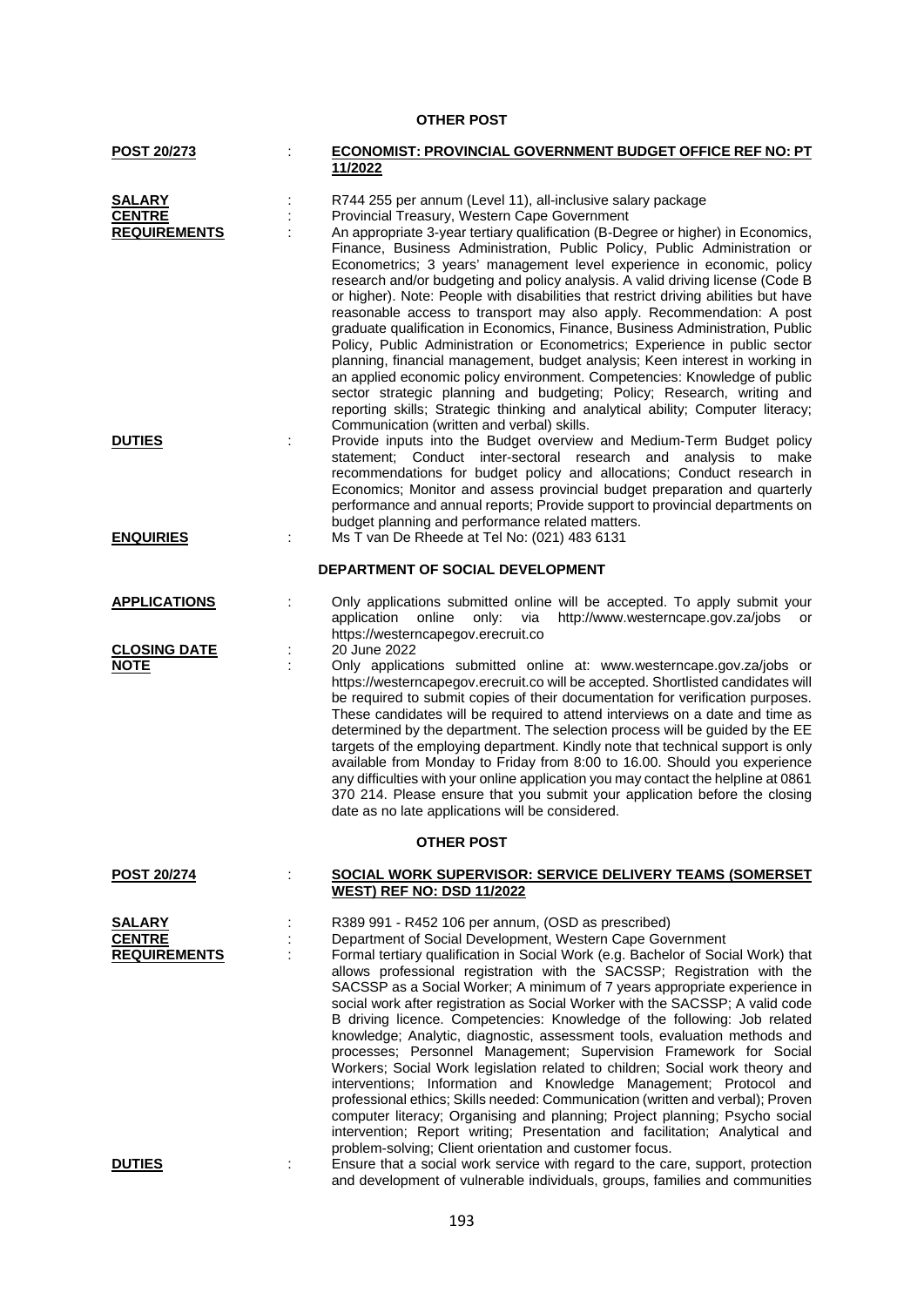## **OTHER POST**

| POST 20/273                                           |    | <b>ECONOMIST: PROVINCIAL GOVERNMENT BUDGET OFFICE REF NO: PT</b>                                                                                                                                                                                                                                                                                                                                                                                                                                                                                                                                                                                                                                                                                                                                                                                                                                                                                                                                                                                                                                                                               |
|-------------------------------------------------------|----|------------------------------------------------------------------------------------------------------------------------------------------------------------------------------------------------------------------------------------------------------------------------------------------------------------------------------------------------------------------------------------------------------------------------------------------------------------------------------------------------------------------------------------------------------------------------------------------------------------------------------------------------------------------------------------------------------------------------------------------------------------------------------------------------------------------------------------------------------------------------------------------------------------------------------------------------------------------------------------------------------------------------------------------------------------------------------------------------------------------------------------------------|
|                                                       |    | 11/2022                                                                                                                                                                                                                                                                                                                                                                                                                                                                                                                                                                                                                                                                                                                                                                                                                                                                                                                                                                                                                                                                                                                                        |
| <b>SALARY</b><br><b>CENTRE</b><br><b>REQUIREMENTS</b> |    | R744 255 per annum (Level 11), all-inclusive salary package<br>Provincial Treasury, Western Cape Government<br>An appropriate 3-year tertiary qualification (B-Degree or higher) in Economics,<br>Finance, Business Administration, Public Policy, Public Administration or<br>Econometrics; 3 years' management level experience in economic, policy<br>research and/or budgeting and policy analysis. A valid driving license (Code B<br>or higher). Note: People with disabilities that restrict driving abilities but have<br>reasonable access to transport may also apply. Recommendation: A post<br>graduate qualification in Economics, Finance, Business Administration, Public<br>Policy, Public Administration or Econometrics; Experience in public sector<br>planning, financial management, budget analysis; Keen interest in working in<br>an applied economic policy environment. Competencies: Knowledge of public<br>sector strategic planning and budgeting; Policy; Research, writing and<br>reporting skills; Strategic thinking and analytical ability; Computer literacy;<br>Communication (written and verbal) skills. |
| <b>DUTIES</b>                                         |    | Provide inputs into the Budget overview and Medium-Term Budget policy<br>statement; Conduct inter-sectoral research and analysis to make<br>recommendations for budget policy and allocations; Conduct research in<br>Economics; Monitor and assess provincial budget preparation and quarterly<br>performance and annual reports; Provide support to provincial departments on<br>budget planning and performance related matters.<br>Ms T van De Rheede at Tel No: (021) 483 6131                                                                                                                                                                                                                                                                                                                                                                                                                                                                                                                                                                                                                                                            |
| <b>ENQUIRIES</b>                                      | ÷  |                                                                                                                                                                                                                                                                                                                                                                                                                                                                                                                                                                                                                                                                                                                                                                                                                                                                                                                                                                                                                                                                                                                                                |
|                                                       |    | DEPARTMENT OF SOCIAL DEVELOPMENT                                                                                                                                                                                                                                                                                                                                                                                                                                                                                                                                                                                                                                                                                                                                                                                                                                                                                                                                                                                                                                                                                                               |
| <b>APPLICATIONS</b>                                   |    | Only applications submitted online will be accepted. To apply submit your<br>application online<br>http://www.westerncape.gov.za/jobs or<br>only: via<br>https://westerncapegov.erecruit.co                                                                                                                                                                                                                                                                                                                                                                                                                                                                                                                                                                                                                                                                                                                                                                                                                                                                                                                                                    |
| <b>CLOSING DATE</b>                                   | İ, | 20 June 2022                                                                                                                                                                                                                                                                                                                                                                                                                                                                                                                                                                                                                                                                                                                                                                                                                                                                                                                                                                                                                                                                                                                                   |
| <b>NOTE</b>                                           |    | Only applications submitted online at: www.westerncape.gov.za/jobs or<br>https://westerncapegov.erecruit.co will be accepted. Shortlisted candidates will<br>be required to submit copies of their documentation for verification purposes.<br>These candidates will be required to attend interviews on a date and time as<br>determined by the department. The selection process will be guided by the EE<br>targets of the employing department. Kindly note that technical support is only<br>available from Monday to Friday from 8:00 to 16.00. Should you experience<br>any difficulties with your online application you may contact the helpline at 0861<br>370 214. Please ensure that you submit your application before the closing<br>date as no late applications will be considered.                                                                                                                                                                                                                                                                                                                                            |
|                                                       |    | <b>OTHER POST</b>                                                                                                                                                                                                                                                                                                                                                                                                                                                                                                                                                                                                                                                                                                                                                                                                                                                                                                                                                                                                                                                                                                                              |
| <b>POST 20/274</b>                                    |    | SOCIAL WORK SUPERVISOR: SERVICE DELIVERY TEAMS (SOMERSET<br><b>WEST) REF NO: DSD 11/2022</b>                                                                                                                                                                                                                                                                                                                                                                                                                                                                                                                                                                                                                                                                                                                                                                                                                                                                                                                                                                                                                                                   |
| SALARY                                                |    | R389 991 - R452 106 per annum, (OSD as prescribed)                                                                                                                                                                                                                                                                                                                                                                                                                                                                                                                                                                                                                                                                                                                                                                                                                                                                                                                                                                                                                                                                                             |
| <b>CENTRE</b><br><b>REQUIREMENTS</b>                  |    | Department of Social Development, Western Cape Government<br>Formal tertiary qualification in Social Work (e.g. Bachelor of Social Work) that<br>allows professional registration with the SACSSP; Registration with the<br>SACSSP as a Social Worker; A minimum of 7 years appropriate experience in<br>social work after registration as Social Worker with the SACSSP; A valid code<br>B driving licence. Competencies: Knowledge of the following: Job related<br>knowledge; Analytic, diagnostic, assessment tools, evaluation methods and<br>processes; Personnel Management; Supervision Framework for Social<br>Workers; Social Work legislation related to children; Social work theory and<br>interventions; Information and Knowledge Management; Protocol and<br>professional ethics; Skills needed: Communication (written and verbal); Proven<br>computer literacy; Organising and planning; Project planning; Psycho social<br>intervention; Report writing; Presentation and facilitation; Analytical and                                                                                                                      |
| <b>DUTIES</b>                                         | ÷  | problem-solving; Client orientation and customer focus.<br>Ensure that a social work service with regard to the care, support, protection<br>and development of vulnerable individuals, groups, families and communities                                                                                                                                                                                                                                                                                                                                                                                                                                                                                                                                                                                                                                                                                                                                                                                                                                                                                                                       |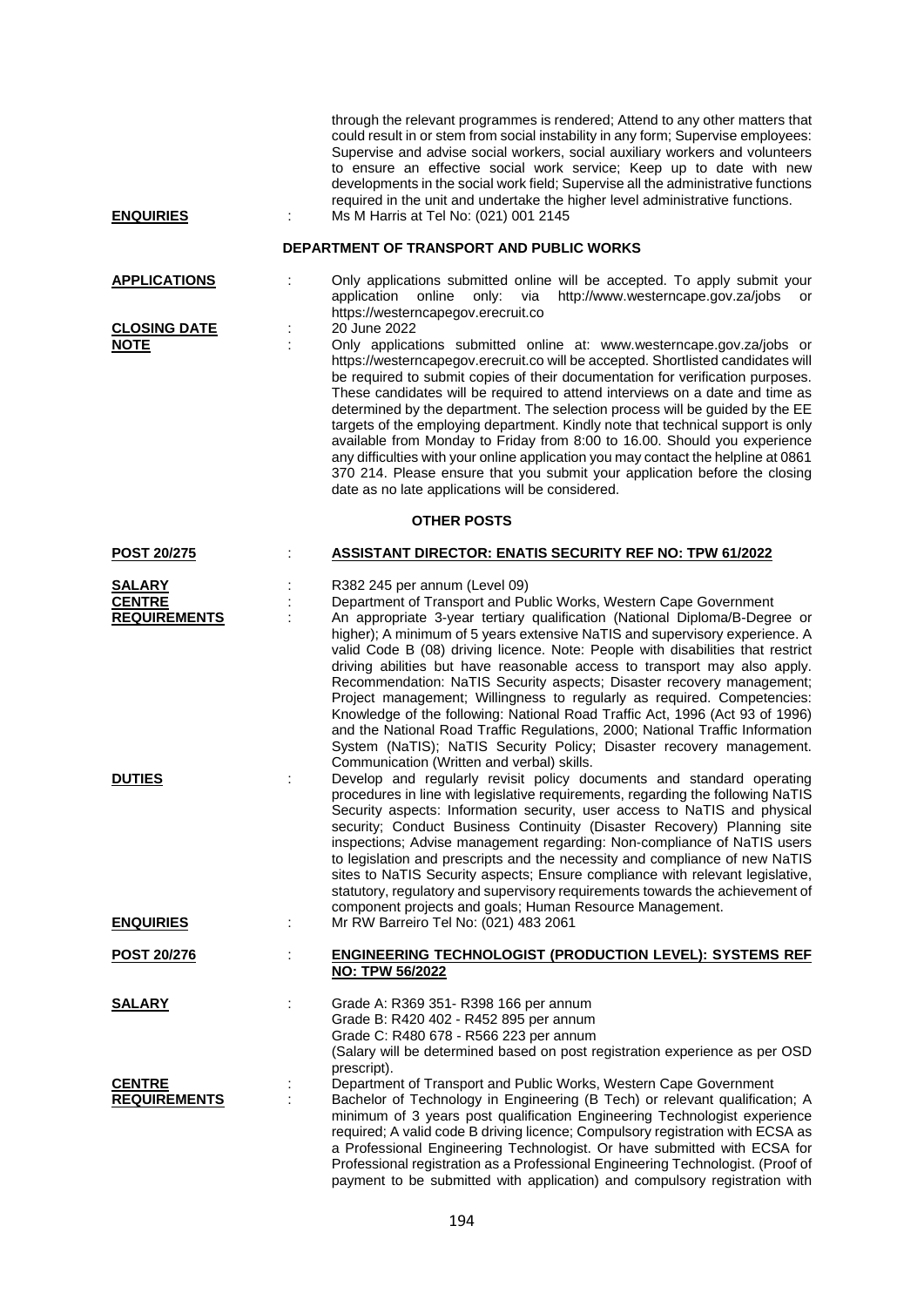| <b>ENQUIRIES</b>                                                       | through the relevant programmes is rendered; Attend to any other matters that<br>could result in or stem from social instability in any form; Supervise employees:<br>Supervise and advise social workers, social auxiliary workers and volunteers<br>to ensure an effective social work service; Keep up to date with new<br>developments in the social work field; Supervise all the administrative functions<br>required in the unit and undertake the higher level administrative functions.<br>Ms M Harris at Tel No: (021) 001 2145                                                                                                                                                                                                                                                                                                                                                                                                           |
|------------------------------------------------------------------------|-----------------------------------------------------------------------------------------------------------------------------------------------------------------------------------------------------------------------------------------------------------------------------------------------------------------------------------------------------------------------------------------------------------------------------------------------------------------------------------------------------------------------------------------------------------------------------------------------------------------------------------------------------------------------------------------------------------------------------------------------------------------------------------------------------------------------------------------------------------------------------------------------------------------------------------------------------|
|                                                                        | DEPARTMENT OF TRANSPORT AND PUBLIC WORKS                                                                                                                                                                                                                                                                                                                                                                                                                                                                                                                                                                                                                                                                                                                                                                                                                                                                                                            |
| <b>APPLICATIONS</b>                                                    | Only applications submitted online will be accepted. To apply submit your<br>http://www.westerncape.gov.za/jobs<br>application<br>online<br>only:<br>via<br>or<br>https://westerncapegov.erecruit.co                                                                                                                                                                                                                                                                                                                                                                                                                                                                                                                                                                                                                                                                                                                                                |
| <b>CLOSING DATE</b><br><b>NOTE</b>                                     | 20 June 2022<br>Only applications submitted online at: www.westerncape.gov.za/jobs or<br>https://westerncapegov.erecruit.co will be accepted. Shortlisted candidates will<br>be required to submit copies of their documentation for verification purposes.<br>These candidates will be required to attend interviews on a date and time as<br>determined by the department. The selection process will be guided by the EE<br>targets of the employing department. Kindly note that technical support is only<br>available from Monday to Friday from 8:00 to 16.00. Should you experience<br>any difficulties with your online application you may contact the helpline at 0861<br>370 214. Please ensure that you submit your application before the closing<br>date as no late applications will be considered.                                                                                                                                 |
|                                                                        | <b>OTHER POSTS</b>                                                                                                                                                                                                                                                                                                                                                                                                                                                                                                                                                                                                                                                                                                                                                                                                                                                                                                                                  |
| <b>POST 20/275</b>                                                     | <b>ASSISTANT DIRECTOR: ENATIS SECURITY REF NO: TPW 61/2022</b>                                                                                                                                                                                                                                                                                                                                                                                                                                                                                                                                                                                                                                                                                                                                                                                                                                                                                      |
| <b>SALARY</b><br><b>CENTRE</b><br><b>REQUIREMENTS</b><br><b>DUTIES</b> | R382 245 per annum (Level 09)<br>Department of Transport and Public Works, Western Cape Government<br>An appropriate 3-year tertiary qualification (National Diploma/B-Degree or<br>higher); A minimum of 5 years extensive NaTIS and supervisory experience. A<br>valid Code B (08) driving licence. Note: People with disabilities that restrict<br>driving abilities but have reasonable access to transport may also apply.<br>Recommendation: NaTIS Security aspects; Disaster recovery management;<br>Project management; Willingness to regularly as required. Competencies:<br>Knowledge of the following: National Road Traffic Act, 1996 (Act 93 of 1996)<br>and the National Road Traffic Regulations, 2000; National Traffic Information<br>System (NaTIS); NaTIS Security Policy; Disaster recovery management.<br>Communication (Written and verbal) skills.<br>Develop and regularly revisit policy documents and standard operating |
| <b>ENQUIRIES</b>                                                       | procedures in line with legislative requirements, regarding the following NaTIS<br>Security aspects: Information security, user access to NaTIS and physical<br>security; Conduct Business Continuity (Disaster Recovery) Planning site<br>inspections; Advise management regarding: Non-compliance of NaTIS users<br>to legislation and prescripts and the necessity and compliance of new NaTIS<br>sites to NaTIS Security aspects; Ensure compliance with relevant legislative,<br>statutory, regulatory and supervisory requirements towards the achievement of<br>component projects and goals; Human Resource Management.<br>Mr RW Barreiro Tel No: (021) 483 2061                                                                                                                                                                                                                                                                            |
| <b>POST 20/276</b>                                                     | <b>ENGINEERING TECHNOLOGIST (PRODUCTION LEVEL): SYSTEMS REF</b>                                                                                                                                                                                                                                                                                                                                                                                                                                                                                                                                                                                                                                                                                                                                                                                                                                                                                     |
|                                                                        | NO: TPW 56/2022                                                                                                                                                                                                                                                                                                                                                                                                                                                                                                                                                                                                                                                                                                                                                                                                                                                                                                                                     |
| <u>SALARY</u>                                                          | Grade A: R369 351- R398 166 per annum<br>Grade B: R420 402 - R452 895 per annum<br>Grade C: R480 678 - R566 223 per annum<br>(Salary will be determined based on post registration experience as per OSD<br>prescript).                                                                                                                                                                                                                                                                                                                                                                                                                                                                                                                                                                                                                                                                                                                             |
| <b>CENTRE</b><br><b>REQUIREMENTS</b>                                   | Department of Transport and Public Works, Western Cape Government<br>Bachelor of Technology in Engineering (B Tech) or relevant qualification; A<br>minimum of 3 years post qualification Engineering Technologist experience<br>required; A valid code B driving licence; Compulsory registration with ECSA as<br>a Professional Engineering Technologist. Or have submitted with ECSA for<br>Professional registration as a Professional Engineering Technologist. (Proof of<br>payment to be submitted with application) and compulsory registration with                                                                                                                                                                                                                                                                                                                                                                                        |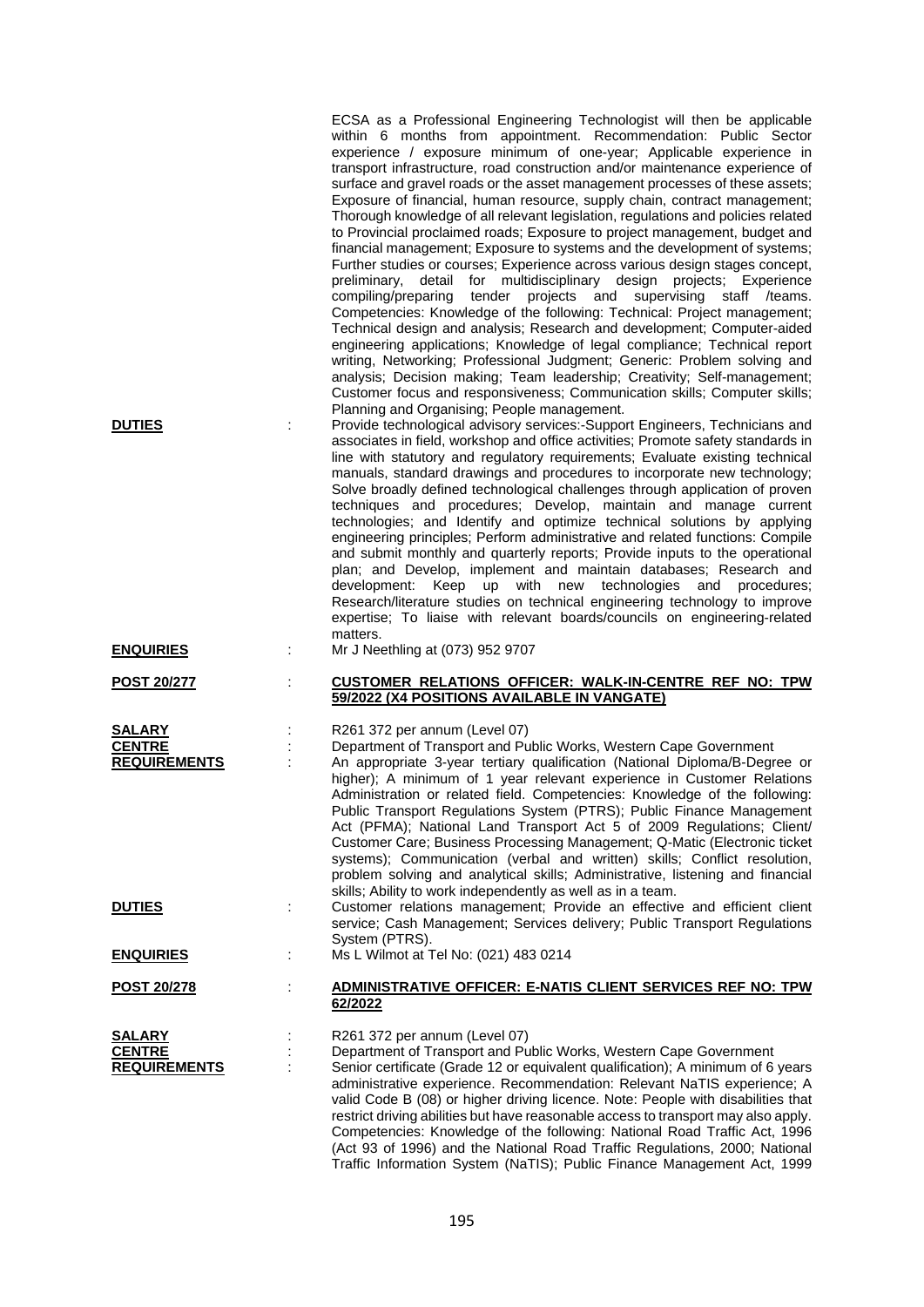| <b>DUTIES</b><br><b>ENQUIRIES</b>                     | t | .<br>Thorough knowledge of all relevant legislation, regulations and policies related<br>to Provincial proclaimed roads; Exposure to project management, budget and<br>financial management; Exposure to systems and the development of systems;<br>Further studies or courses; Experience across various design stages concept,<br>detail for multidisciplinary design projects; Experience<br>preliminary,<br>compiling/preparing tender projects and supervising staff /teams.<br>Competencies: Knowledge of the following: Technical: Project management;<br>Technical design and analysis; Research and development; Computer-aided<br>engineering applications; Knowledge of legal compliance; Technical report<br>writing, Networking; Professional Judgment; Generic: Problem solving and<br>analysis; Decision making; Team leadership; Creativity; Self-management;<br>Customer focus and responsiveness; Communication skills; Computer skills;<br>Planning and Organising; People management.<br>Provide technological advisory services:-Support Engineers, Technicians and<br>associates in field, workshop and office activities; Promote safety standards in<br>line with statutory and regulatory requirements; Evaluate existing technical<br>manuals, standard drawings and procedures to incorporate new technology;<br>Solve broadly defined technological challenges through application of proven<br>techniques and procedures; Develop, maintain and manage current<br>technologies; and Identify and optimize technical solutions by applying<br>engineering principles; Perform administrative and related functions: Compile<br>and submit monthly and quarterly reports; Provide inputs to the operational<br>plan; and Develop, implement and maintain databases; Research and<br>development: Keep up with new technologies<br>and procedures;<br>Research/literature studies on technical engineering technology to improve<br>expertise; To liaise with relevant boards/councils on engineering-related<br>matters.<br>Mr J Neethling at (073) 952 9707 |
|-------------------------------------------------------|---|-----------------------------------------------------------------------------------------------------------------------------------------------------------------------------------------------------------------------------------------------------------------------------------------------------------------------------------------------------------------------------------------------------------------------------------------------------------------------------------------------------------------------------------------------------------------------------------------------------------------------------------------------------------------------------------------------------------------------------------------------------------------------------------------------------------------------------------------------------------------------------------------------------------------------------------------------------------------------------------------------------------------------------------------------------------------------------------------------------------------------------------------------------------------------------------------------------------------------------------------------------------------------------------------------------------------------------------------------------------------------------------------------------------------------------------------------------------------------------------------------------------------------------------------------------------------------------------------------------------------------------------------------------------------------------------------------------------------------------------------------------------------------------------------------------------------------------------------------------------------------------------------------------------------------------------------------------------------------------------------------------------------------------------------------------------------------------------------|
|                                                       |   |                                                                                                                                                                                                                                                                                                                                                                                                                                                                                                                                                                                                                                                                                                                                                                                                                                                                                                                                                                                                                                                                                                                                                                                                                                                                                                                                                                                                                                                                                                                                                                                                                                                                                                                                                                                                                                                                                                                                                                                                                                                                                         |
| <b>POST 20/277</b>                                    |   | CUSTOMER RELATIONS OFFICER: WALK-IN-CENTRE REF NO: TPW<br>59/2022 (X4 POSITIONS AVAILABLE IN VANGATE)                                                                                                                                                                                                                                                                                                                                                                                                                                                                                                                                                                                                                                                                                                                                                                                                                                                                                                                                                                                                                                                                                                                                                                                                                                                                                                                                                                                                                                                                                                                                                                                                                                                                                                                                                                                                                                                                                                                                                                                   |
| <b>SALARY</b><br><b>CENTRE</b><br><b>REQUIREMENTS</b> |   | R261 372 per annum (Level 07)<br>Department of Transport and Public Works, Western Cape Government<br>An appropriate 3-year tertiary qualification (National Diploma/B-Degree or<br>higher); A minimum of 1 year relevant experience in Customer Relations<br>Administration or related field. Competencies: Knowledge of the following:<br>Public Transport Regulations System (PTRS); Public Finance Management<br>Act (PFMA); National Land Transport Act 5 of 2009 Regulations; Client/<br>Customer Care; Business Processing Management; Q-Matic (Electronic ticket<br>systems); Communication (verbal and written) skills; Conflict resolution,<br>problem solving and analytical skills; Administrative, listening and financial<br>skills; Ability to work independently as well as in a team.                                                                                                                                                                                                                                                                                                                                                                                                                                                                                                                                                                                                                                                                                                                                                                                                                                                                                                                                                                                                                                                                                                                                                                                                                                                                                  |
| <u>DUTIES</u>                                         |   | Customer relations management; Provide an effective and efficient client<br>service; Cash Management; Services delivery; Public Transport Regulations<br>System (PTRS).                                                                                                                                                                                                                                                                                                                                                                                                                                                                                                                                                                                                                                                                                                                                                                                                                                                                                                                                                                                                                                                                                                                                                                                                                                                                                                                                                                                                                                                                                                                                                                                                                                                                                                                                                                                                                                                                                                                 |
| <b>ENQUIRIES</b>                                      |   | Ms L Wilmot at Tel No: (021) 483 0214                                                                                                                                                                                                                                                                                                                                                                                                                                                                                                                                                                                                                                                                                                                                                                                                                                                                                                                                                                                                                                                                                                                                                                                                                                                                                                                                                                                                                                                                                                                                                                                                                                                                                                                                                                                                                                                                                                                                                                                                                                                   |
| <u>POST 20/278</u>                                    |   | ADMINISTRATIVE OFFICER: E-NATIS CLIENT SERVICES REF NO: TPW<br>62/2022                                                                                                                                                                                                                                                                                                                                                                                                                                                                                                                                                                                                                                                                                                                                                                                                                                                                                                                                                                                                                                                                                                                                                                                                                                                                                                                                                                                                                                                                                                                                                                                                                                                                                                                                                                                                                                                                                                                                                                                                                  |
| <b>SALARY</b><br><b>CENTRE</b><br><b>REQUIREMENTS</b> |   | R261 372 per annum (Level 07)<br>Department of Transport and Public Works, Western Cape Government<br>Senior certificate (Grade 12 or equivalent qualification); A minimum of 6 years<br>administrative experience. Recommendation: Relevant NaTIS experience; A<br>valid Code B (08) or higher driving licence. Note: People with disabilities that<br>restrict driving abilities but have reasonable access to transport may also apply.<br>Competencies: Knowledge of the following: National Road Traffic Act, 1996<br>(Act 93 of 1996) and the National Road Traffic Regulations, 2000; National<br>Traffic Information System (NaTIS); Public Finance Management Act, 1999                                                                                                                                                                                                                                                                                                                                                                                                                                                                                                                                                                                                                                                                                                                                                                                                                                                                                                                                                                                                                                                                                                                                                                                                                                                                                                                                                                                                        |

ECSA as a Professional Engineering Technologist will then be applicable within 6 months from appointment. Recommendation: Public Sector experience / exposure minimum of one-year; Applicable experience in transport infrastructure, road construction and/or maintenance experience of surface and gravel roads or the asset management processes of these assets; Exposure of financial, human resource, supply chain, contract management;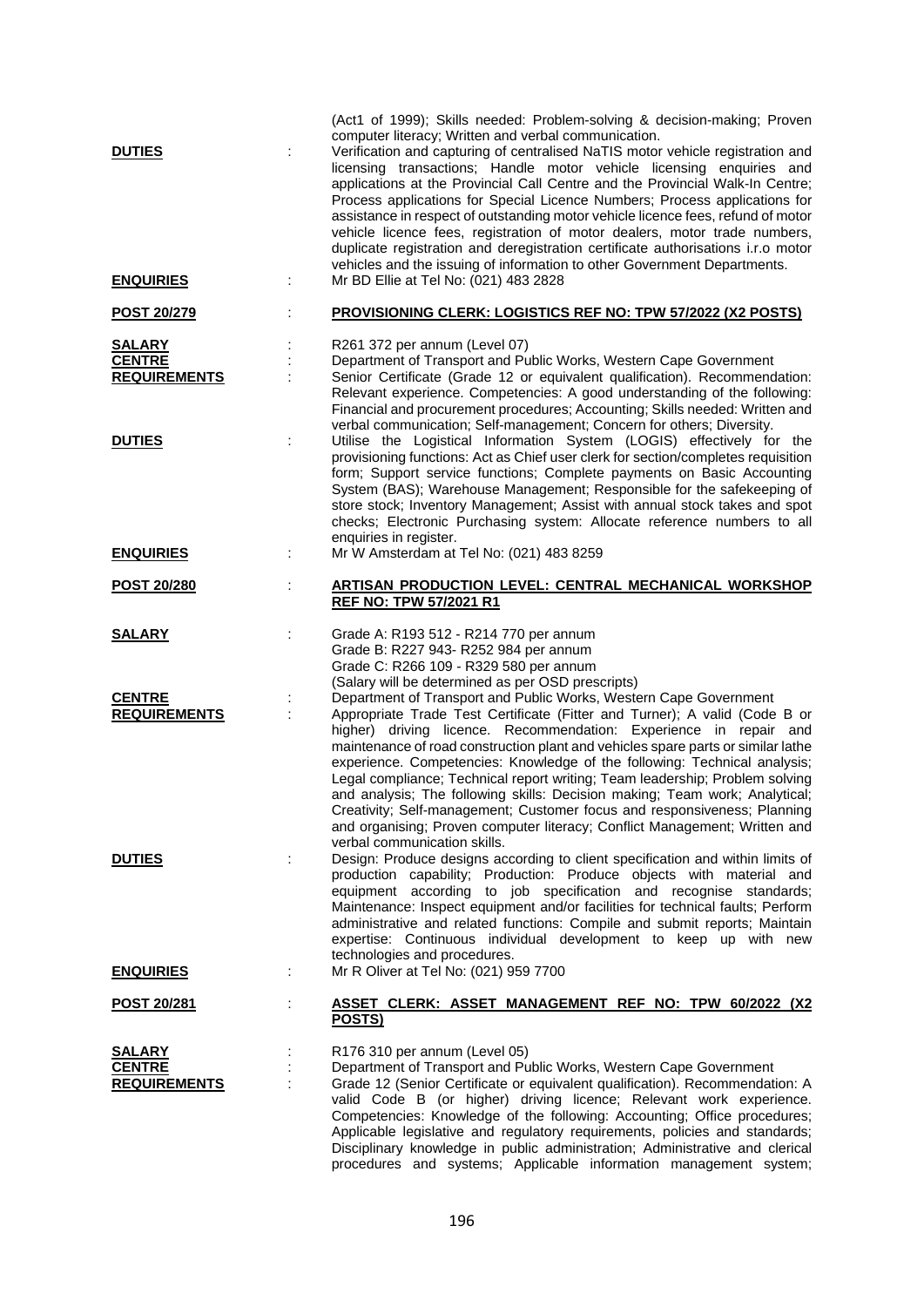| <b>DUTIES</b><br><b>ENQUIRIES</b>                     | ÷ | (Act1 of 1999); Skills needed: Problem-solving & decision-making; Proven<br>computer literacy; Written and verbal communication.<br>Verification and capturing of centralised NaTIS motor vehicle registration and<br>licensing transactions; Handle motor vehicle licensing enquiries and<br>applications at the Provincial Call Centre and the Provincial Walk-In Centre;<br>Process applications for Special Licence Numbers; Process applications for<br>assistance in respect of outstanding motor vehicle licence fees, refund of motor<br>vehicle licence fees, registration of motor dealers, motor trade numbers,<br>duplicate registration and deregistration certificate authorisations i.r.o motor<br>vehicles and the issuing of information to other Government Departments.<br>Mr BD Ellie at Tel No: (021) 483 2828 |
|-------------------------------------------------------|---|-------------------------------------------------------------------------------------------------------------------------------------------------------------------------------------------------------------------------------------------------------------------------------------------------------------------------------------------------------------------------------------------------------------------------------------------------------------------------------------------------------------------------------------------------------------------------------------------------------------------------------------------------------------------------------------------------------------------------------------------------------------------------------------------------------------------------------------|
| <u>POST 20/279</u>                                    |   | PROVISIONING CLERK: LOGISTICS REF NO: TPW 57/2022 (X2 POSTS)                                                                                                                                                                                                                                                                                                                                                                                                                                                                                                                                                                                                                                                                                                                                                                        |
| SALARY<br><b>CENTRE</b><br><b>REQUIREMENTS</b>        |   | R261 372 per annum (Level 07)<br>Department of Transport and Public Works, Western Cape Government<br>Senior Certificate (Grade 12 or equivalent qualification). Recommendation:<br>Relevant experience. Competencies: A good understanding of the following:<br>Financial and procurement procedures; Accounting; Skills needed: Written and<br>verbal communication; Self-management; Concern for others; Diversity.                                                                                                                                                                                                                                                                                                                                                                                                              |
| <b>DUTIES</b>                                         |   | Utilise the Logistical Information System (LOGIS) effectively for the<br>provisioning functions: Act as Chief user clerk for section/completes requisition<br>form; Support service functions; Complete payments on Basic Accounting<br>System (BAS); Warehouse Management; Responsible for the safekeeping of<br>store stock; Inventory Management; Assist with annual stock takes and spot<br>checks; Electronic Purchasing system: Allocate reference numbers to all<br>enquiries in register.                                                                                                                                                                                                                                                                                                                                   |
| <b>ENQUIRIES</b>                                      |   | Mr W Amsterdam at Tel No: (021) 483 8259                                                                                                                                                                                                                                                                                                                                                                                                                                                                                                                                                                                                                                                                                                                                                                                            |
| <b>POST 20/280</b>                                    |   | <b>ARTISAN PRODUCTION LEVEL: CENTRAL MECHANICAL WORKSHOP</b><br><b>REF NO: TPW 57/2021 R1</b>                                                                                                                                                                                                                                                                                                                                                                                                                                                                                                                                                                                                                                                                                                                                       |
| <u>SALARY</u>                                         |   | Grade A: R193 512 - R214 770 per annum<br>Grade B: R227 943- R252 984 per annum<br>Grade C: R266 109 - R329 580 per annum<br>(Salary will be determined as per OSD prescripts)                                                                                                                                                                                                                                                                                                                                                                                                                                                                                                                                                                                                                                                      |
| <b>CENTRE</b><br><b>REQUIREMENTS</b>                  |   | Department of Transport and Public Works, Western Cape Government<br>Appropriate Trade Test Certificate (Fitter and Turner); A valid (Code B or<br>higher) driving licence. Recommendation: Experience in repair and<br>maintenance of road construction plant and vehicles spare parts or similar lathe<br>experience. Competencies: Knowledge of the following: Technical analysis;<br>Legal compliance; Technical report writing; Team leadership; Problem solving<br>and analysis; The following skills: Decision making; Team work; Analytical;<br>Creativity; Self-management; Customer focus and responsiveness; Planning<br>and organising; Proven computer literacy; Conflict Management; Written and<br>verbal communication skills.                                                                                      |
| <b>DUTIES</b>                                         |   | Design: Produce designs according to client specification and within limits of<br>production capability; Production: Produce objects with material and<br>equipment according to job specification and recognise standards;<br>Maintenance: Inspect equipment and/or facilities for technical faults; Perform<br>administrative and related functions: Compile and submit reports; Maintain<br>expertise: Continuous individual development to keep up with new<br>technologies and procedures.                                                                                                                                                                                                                                                                                                                                     |
| <b>ENQUIRIES</b>                                      |   | Mr R Oliver at Tel No: (021) 959 7700                                                                                                                                                                                                                                                                                                                                                                                                                                                                                                                                                                                                                                                                                                                                                                                               |
| <u>POST 20/281</u>                                    |   | ASSET CLERK: ASSET MANAGEMENT REF NO: TPW 60/2022 (X2<br>POSTS)                                                                                                                                                                                                                                                                                                                                                                                                                                                                                                                                                                                                                                                                                                                                                                     |
| <b>SALARY</b><br><b>CENTRE</b><br><b>REQUIREMENTS</b> |   | R176 310 per annum (Level 05)<br>Department of Transport and Public Works, Western Cape Government<br>Grade 12 (Senior Certificate or equivalent qualification). Recommendation: A<br>valid Code B (or higher) driving licence; Relevant work experience.<br>Competencies: Knowledge of the following: Accounting; Office procedures;<br>Applicable legislative and regulatory requirements, policies and standards;<br>Disciplinary knowledge in public administration; Administrative and clerical                                                                                                                                                                                                                                                                                                                                |

procedures and systems; Applicable information management system;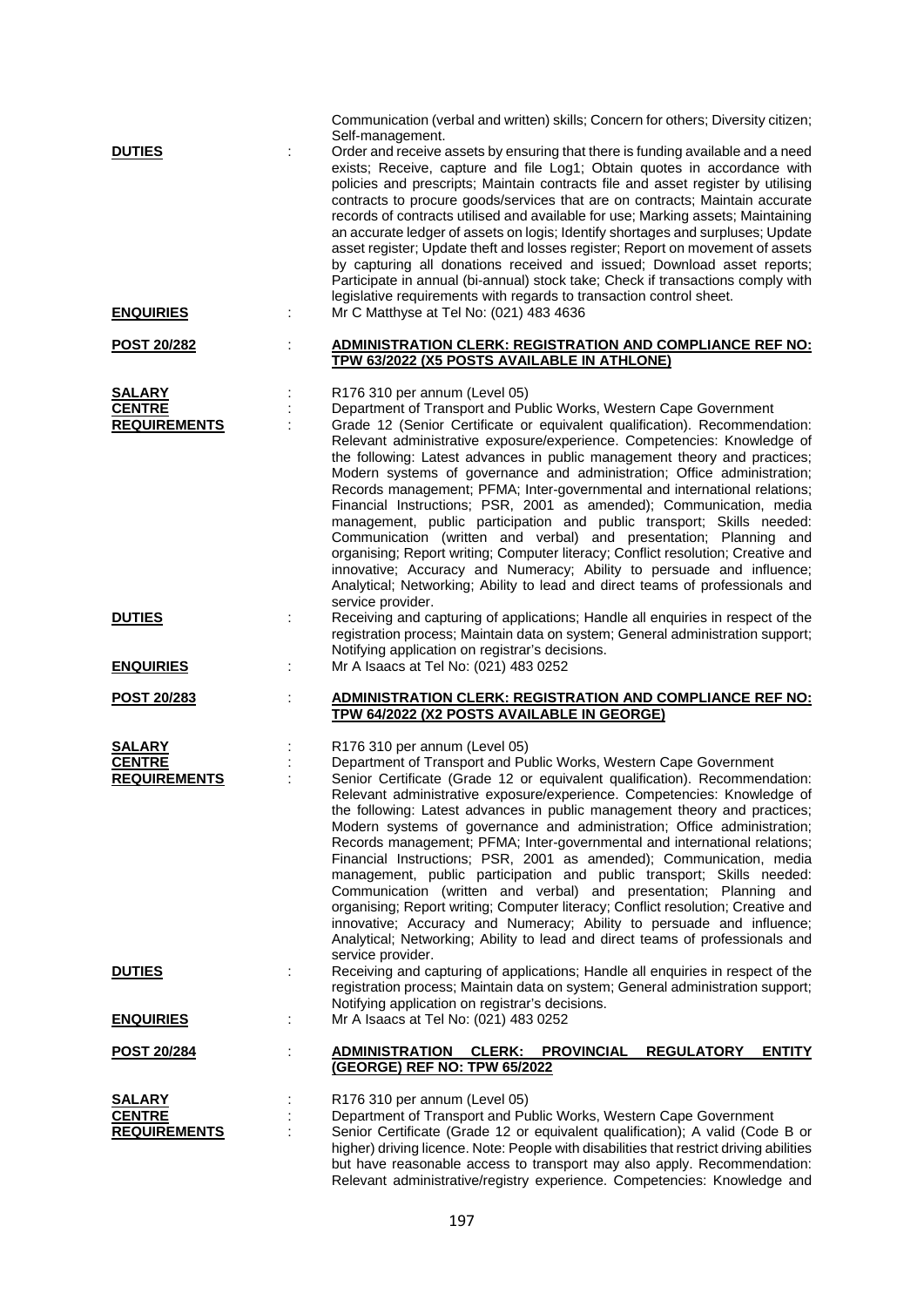| <b>DUTIES</b>                                         |   | Communication (verbal and written) skills; Concern for others; Diversity citizen;<br>Self-management.<br>Order and receive assets by ensuring that there is funding available and a need<br>exists; Receive, capture and file Log1; Obtain quotes in accordance with<br>policies and prescripts; Maintain contracts file and asset register by utilising                                                                                                                                                                                                                                                                                                                                                                                                                                                                                                                           |
|-------------------------------------------------------|---|------------------------------------------------------------------------------------------------------------------------------------------------------------------------------------------------------------------------------------------------------------------------------------------------------------------------------------------------------------------------------------------------------------------------------------------------------------------------------------------------------------------------------------------------------------------------------------------------------------------------------------------------------------------------------------------------------------------------------------------------------------------------------------------------------------------------------------------------------------------------------------|
|                                                       |   | contracts to procure goods/services that are on contracts; Maintain accurate<br>records of contracts utilised and available for use; Marking assets; Maintaining<br>an accurate ledger of assets on logis; Identify shortages and surpluses; Update<br>asset register; Update theft and losses register; Report on movement of assets<br>by capturing all donations received and issued; Download asset reports;<br>Participate in annual (bi-annual) stock take; Check if transactions comply with<br>legislative requirements with regards to transaction control sheet.                                                                                                                                                                                                                                                                                                         |
| <b>ENQUIRIES</b>                                      | ÷ | Mr C Matthyse at Tel No: (021) 483 4636                                                                                                                                                                                                                                                                                                                                                                                                                                                                                                                                                                                                                                                                                                                                                                                                                                            |
| POST 20/282                                           | ÷ | ADMINISTRATION CLERK: REGISTRATION AND COMPLIANCE REF NO:<br>TPW 63/2022 (X5 POSTS AVAILABLE IN ATHLONE)                                                                                                                                                                                                                                                                                                                                                                                                                                                                                                                                                                                                                                                                                                                                                                           |
| <b>SALARY</b><br><b>CENTRE</b><br><b>REQUIREMENTS</b> |   | R176 310 per annum (Level 05)<br>Department of Transport and Public Works, Western Cape Government<br>Grade 12 (Senior Certificate or equivalent qualification). Recommendation:<br>Relevant administrative exposure/experience. Competencies: Knowledge of<br>the following: Latest advances in public management theory and practices;<br>Modern systems of governance and administration; Office administration;<br>Records management; PFMA; Inter-governmental and international relations;                                                                                                                                                                                                                                                                                                                                                                                   |
|                                                       |   | Financial Instructions; PSR, 2001 as amended); Communication, media<br>management, public participation and public transport; Skills needed:<br>Communication (written and verbal) and presentation; Planning and<br>organising; Report writing; Computer literacy; Conflict resolution; Creative and<br>innovative; Accuracy and Numeracy; Ability to persuade and influence;<br>Analytical; Networking; Ability to lead and direct teams of professionals and<br>service provider.                                                                                                                                                                                                                                                                                                                                                                                               |
| <b>DUTIES</b>                                         |   | Receiving and capturing of applications; Handle all enquiries in respect of the<br>registration process; Maintain data on system; General administration support;<br>Notifying application on registrar's decisions.                                                                                                                                                                                                                                                                                                                                                                                                                                                                                                                                                                                                                                                               |
| <b>ENQUIRIES</b>                                      | ÷ | Mr A Isaacs at Tel No: (021) 483 0252                                                                                                                                                                                                                                                                                                                                                                                                                                                                                                                                                                                                                                                                                                                                                                                                                                              |
| POST 20/283                                           |   | <b>ADMINISTRATION CLERK: REGISTRATION AND COMPLIANCE REF NO:</b><br>TPW 64/2022 (X2 POSTS AVAILABLE IN GEORGE)                                                                                                                                                                                                                                                                                                                                                                                                                                                                                                                                                                                                                                                                                                                                                                     |
| <b>SALARY</b><br><b>CENTRE</b>                        |   | R176 310 per annum (Level 05)<br>Department of Transport and Public Works, Western Cape Government                                                                                                                                                                                                                                                                                                                                                                                                                                                                                                                                                                                                                                                                                                                                                                                 |
| <b>REQUIREMENTS</b>                                   |   | Senior Certificate (Grade 12 or equivalent qualification). Recommendation:<br>Relevant administrative exposure/experience. Competencies: Knowledge of<br>the following: Latest advances in public management theory and practices;<br>Modern systems of governance and administration; Office administration;<br>Records management; PFMA; Inter-governmental and international relations;<br>Financial Instructions; PSR, 2001 as amended); Communication, media<br>management, public participation and public transport; Skills needed:<br>Communication (written and verbal) and presentation; Planning and<br>organising; Report writing; Computer literacy; Conflict resolution; Creative and<br>innovative; Accuracy and Numeracy; Ability to persuade and influence;<br>Analytical; Networking; Ability to lead and direct teams of professionals and<br>service provider. |
| <b>DUTIES</b>                                         |   | Receiving and capturing of applications; Handle all enquiries in respect of the<br>registration process; Maintain data on system; General administration support;<br>Notifying application on registrar's decisions.<br>Mr A Isaacs at Tel No: (021) 483 0252                                                                                                                                                                                                                                                                                                                                                                                                                                                                                                                                                                                                                      |
| <b>ENQUIRIES</b>                                      | ÷ |                                                                                                                                                                                                                                                                                                                                                                                                                                                                                                                                                                                                                                                                                                                                                                                                                                                                                    |
| <b>POST 20/284</b>                                    |   | <b>ADMINISTRATION</b><br><b>CLERK:</b><br><b>PROVINCIAL</b><br><b>REGULATORY</b><br><b>ENTITY</b><br>(GEORGE) REF NO: TPW 65/2022                                                                                                                                                                                                                                                                                                                                                                                                                                                                                                                                                                                                                                                                                                                                                  |
| <b>SALARY</b><br><b>CENTRE</b><br><b>REQUIREMENTS</b> |   | R176 310 per annum (Level 05)<br>Department of Transport and Public Works, Western Cape Government<br>Senior Certificate (Grade 12 or equivalent qualification); A valid (Code B or<br>higher) driving licence. Note: People with disabilities that restrict driving abilities<br>but have reasonable access to transport may also apply. Recommendation:                                                                                                                                                                                                                                                                                                                                                                                                                                                                                                                          |

Relevant administrative/registry experience. Competencies: Knowledge and